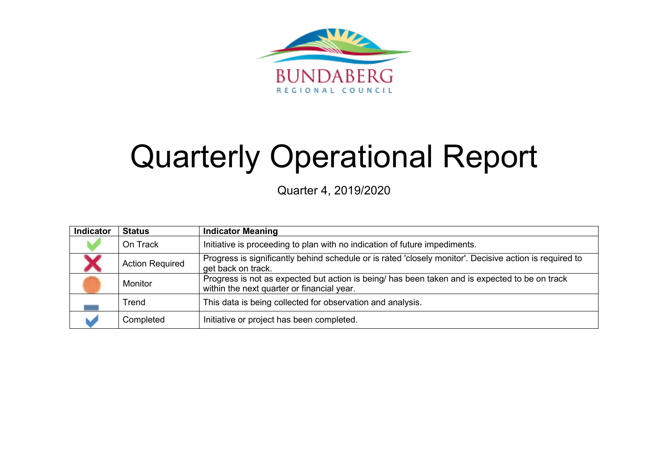

# Quarterly Operational Report

Quarter 4, 2019/2020

| Indicator | <b>Status</b>          | <b>Indicator Meaning</b>                                                                                                                     |
|-----------|------------------------|----------------------------------------------------------------------------------------------------------------------------------------------|
|           | On Track               | Initiative is proceeding to plan with no indication of future impediments.                                                                   |
|           | <b>Action Required</b> | Progress is significantly behind schedule or is rated 'closely monitor'. Decisive action is required to<br>get back on track.                |
|           | Monitor                | Progress is not as expected but action is being/ has been taken and is expected to be on track<br>within the next quarter or financial year. |
|           | Trend                  | This data is being collected for observation and analysis.                                                                                   |
|           | Completed              | Initiative or project has been completed.                                                                                                    |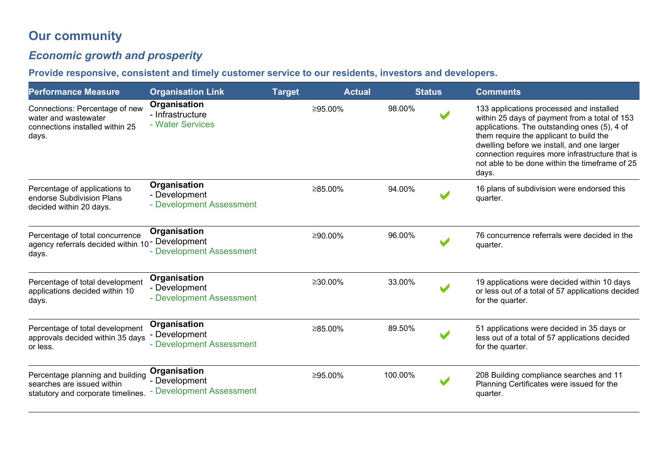# **Our community**

# *Economic growth and prosperity*

**Provide responsive, consistent and timely customer service to our residents, investors and developers.** 

| <b>Performance Measure</b>                                                                              | <b>Organisation Link</b>                                  | <b>Target</b> | <b>Actual</b> |         | <b>Status</b>         | <b>Comments</b>                                                                                                                                                                                                                                                                                                                                  |
|---------------------------------------------------------------------------------------------------------|-----------------------------------------------------------|---------------|---------------|---------|-----------------------|--------------------------------------------------------------------------------------------------------------------------------------------------------------------------------------------------------------------------------------------------------------------------------------------------------------------------------------------------|
| Connections: Percentage of new<br>water and wastewater<br>connections installed within 25<br>days.      | Organisation<br>- Infrastructure<br>- Water Services      |               | ≥95.00%       | 98.00%  | $\blacktriangleright$ | 133 applications processed and installed<br>within 25 days of payment from a total of 153<br>applications. The outstanding ones (5), 4 of<br>them require the applicant to build the<br>dwelling before we install, and one larger<br>connection requires more infrastructure that is<br>not able to be done within the timeframe of 25<br>days. |
| Percentage of applications to<br>endorse Subdivision Plans<br>decided within 20 days.                   | Organisation<br>- Development<br>- Development Assessment |               | ≥85.00%       | 94.00%  |                       | 16 plans of subdivision were endorsed this<br>quarter.                                                                                                                                                                                                                                                                                           |
| Percentage of total concurrence<br>agency referrals decided within 10 <sup>-</sup> Development<br>days. | Organisation<br>- Development Assessment                  |               | ≥90.00%       | 96.00%  |                       | 76 concurrence referrals were decided in the<br>quarter.                                                                                                                                                                                                                                                                                         |
| Percentage of total development<br>applications decided within 10<br>days.                              | Organisation<br>- Development<br>- Development Assessment |               | $≥30.00\%$    | 33.00%  |                       | 19 applications were decided within 10 days<br>or less out of a total of 57 applications decided<br>for the quarter.                                                                                                                                                                                                                             |
| Percentage of total development<br>approvals decided within 35 days<br>or less.                         | Organisation<br>- Development<br>- Development Assessment |               | ≥85.00%       | 89.50%  |                       | 51 applications were decided in 35 days or<br>less out of a total of 57 applications decided<br>for the quarter.                                                                                                                                                                                                                                 |
| Percentage planning and building<br>searches are issued within<br>statutory and corporate timelines.    | Organisation<br>- Development<br>- Development Assessment |               | ≥95.00%       | 100.00% | $\mathbf{v}$          | 208 Building compliance searches and 11<br>Planning Certificates were issued for the<br>quarter.                                                                                                                                                                                                                                                 |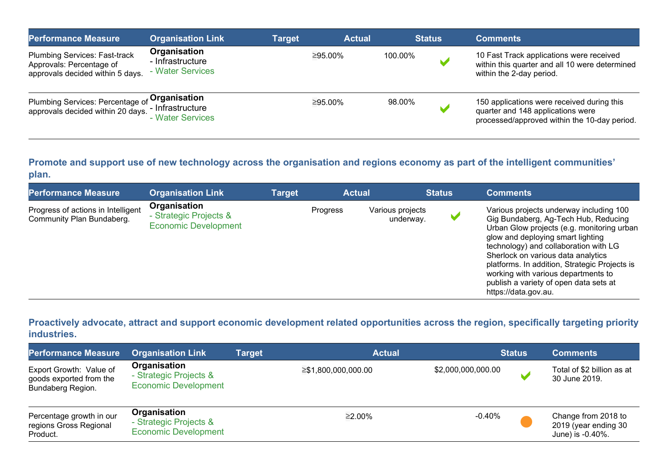| <b>Performance Measure</b>                                                                           | <b>Organisation Link</b>                             | Target | <b>Actual</b> |         | <b>Status</b> | <b>Comments</b>                                                                                                                 |
|------------------------------------------------------------------------------------------------------|------------------------------------------------------|--------|---------------|---------|---------------|---------------------------------------------------------------------------------------------------------------------------------|
| <b>Plumbing Services: Fast-track</b><br>Approvals: Percentage of<br>approvals decided within 5 days. | Organisation<br>- Infrastructure<br>- Water Services |        | ≥95.00%       | 100.00% |               | 10 Fast Track applications were received<br>within this quarter and all 10 were determined<br>within the 2-day period.          |
| Plumbing Services: Percentage of Organisation<br>approvals decided within 20 days.                   | - Infrastructure<br>- Water Services                 |        | ≥95.00%       | 98.00%  |               | 150 applications were received during this<br>quarter and 148 applications were<br>processed/approved within the 10-day period. |

#### **Promote and support use of new technology across the organisation and regions economy as part of the intelligent communities' plan.**

| <b>Performance Measure</b>                                      | <b>Organisation Link</b>                                              | Target | <b>Actual</b> |                               | <b>Status</b> | <b>Comments</b>                                                                                                                                                                                                                                                                                                                                                                                             |
|-----------------------------------------------------------------|-----------------------------------------------------------------------|--------|---------------|-------------------------------|---------------|-------------------------------------------------------------------------------------------------------------------------------------------------------------------------------------------------------------------------------------------------------------------------------------------------------------------------------------------------------------------------------------------------------------|
| Progress of actions in Intelligent<br>Community Plan Bundaberg. | Organisation<br>- Strategic Projects &<br><b>Economic Development</b> |        | Progress      | Various projects<br>underway. |               | Various projects underway including 100<br>Gig Bundaberg, Ag-Tech Hub, Reducing<br>Urban Glow projects (e.g. monitoring urban<br>glow and deploying smart lighting<br>technology) and collaboration with LG<br>Sherlock on various data analytics<br>platforms. In addition, Strategic Projects is<br>working with various departments to<br>publish a variety of open data sets at<br>https://data.gov.au. |

## **Proactively advocate, attract and support economic development related opportunities across the region, specifically targeting priority industries.**

| <b>Performance Measure</b>                                              | <b>Organisation Link</b>                                              | <b>Target</b> | <b>Actual</b>       |                    | <b>Status</b> | <b>Comments</b>                                                 |
|-------------------------------------------------------------------------|-----------------------------------------------------------------------|---------------|---------------------|--------------------|---------------|-----------------------------------------------------------------|
| Export Growth: Value of<br>goods exported from the<br>Bundaberg Region. | Organisation<br>- Strategic Projects &<br><b>Economic Development</b> |               | ≥\$1,800,000,000.00 | \$2,000,000,000.00 | М             | Total of \$2 billion as at<br>30 June 2019.                     |
| Percentage growth in our<br>regions Gross Regional<br>Product.          | Organisation<br>- Strategic Projects &<br><b>Economic Development</b> |               | ≥2.00%              | $-0.40%$           |               | Change from 2018 to<br>2019 (year ending 30<br>June) is -0.40%. |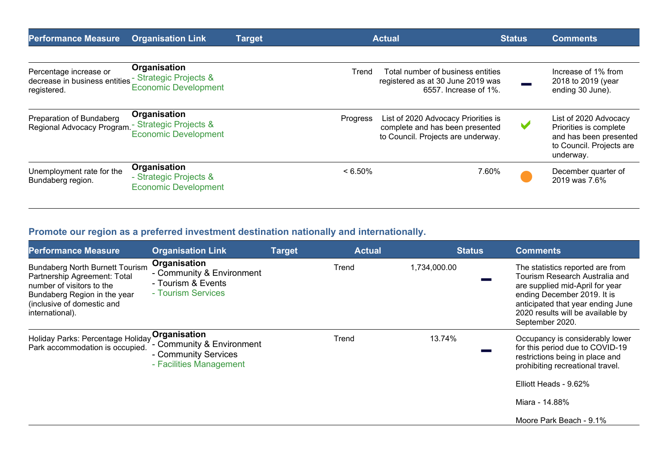| <b>Performance Measure</b>                                             | <b>Organisation Link</b>                                              | <b>Target</b> | <b>Actual</b>                                                                                                            | <b>Status</b>         | <b>Comments</b>                                                                                                    |  |
|------------------------------------------------------------------------|-----------------------------------------------------------------------|---------------|--------------------------------------------------------------------------------------------------------------------------|-----------------------|--------------------------------------------------------------------------------------------------------------------|--|
| Percentage increase or<br>decrease in business entities<br>registered. | Organisation<br>- Strategic Projects &<br><b>Economic Development</b> |               | Total number of business entities<br>Trend<br>registered as at 30 June 2019 was                                          | 6557. Increase of 1%. | Increase of 1% from<br>2018 to 2019 (year<br>ending 30 June).                                                      |  |
| Preparation of Bundaberg<br>Regional Advocacy Program.                 | Organisation<br>- Strategic Projects &<br><b>Economic Development</b> |               | Progress<br>List of 2020 Advocacy Priorities is<br>complete and has been presented<br>to Council. Projects are underway. |                       | List of 2020 Advocacy<br>Priorities is complete<br>and has been presented<br>to Council. Projects are<br>underway. |  |
| Unemployment rate for the<br>Bundaberg region.                         | Organisation<br>- Strategic Projects &<br><b>Economic Development</b> |               | $< 6.50\%$                                                                                                               | 7.60%                 | December quarter of<br>2019 was 7.6%                                                                               |  |

# **Promote our region as a preferred investment destination nationally and internationally.**

| <b>Performance Measure</b>                                                                                                                                                           | <b>Organisation Link</b>                                                                     | <b>Target</b> | <b>Actual</b> | <b>Status</b> | <b>Comments</b>                                                                                                                                                                                                                   |
|--------------------------------------------------------------------------------------------------------------------------------------------------------------------------------------|----------------------------------------------------------------------------------------------|---------------|---------------|---------------|-----------------------------------------------------------------------------------------------------------------------------------------------------------------------------------------------------------------------------------|
| <b>Bundaberg North Burnett Tourism</b><br>Partnership Agreement: Total<br>number of visitors to the<br>Bundaberg Region in the year<br>(inclusive of domestic and<br>international). | Organisation<br>- Community & Environment<br>- Tourism & Events<br>- Tourism Services        |               | Trend         | 1,734,000.00  | The statistics reported are from<br>Tourism Research Australia and<br>are supplied mid-April for year<br>ending December 2019. It is<br>anticipated that year ending June<br>2020 results will be available by<br>September 2020. |
| Holiday Parks: Percentage Holiday<br>Park accommodation is occupied.                                                                                                                 | Organisation<br>- Community & Environment<br>- Community Services<br>- Facilities Management |               | Trend         | 13.74%        | Occupancy is considerably lower<br>for this period due to COVID-19<br>restrictions being in place and<br>prohibiting recreational travel.<br>Elliott Heads - 9.62%<br>Miara - 14.88%                                              |
|                                                                                                                                                                                      |                                                                                              |               |               |               | Moore Park Beach - 9.1%                                                                                                                                                                                                           |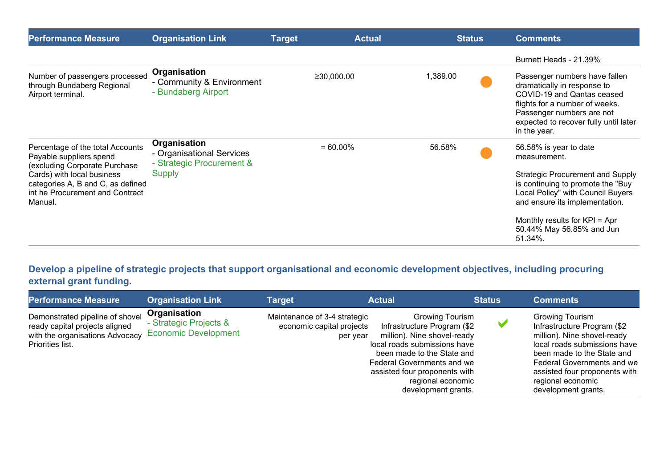| <b>Performance Measure</b>                                                                                                                                                                                    | <b>Organisation Link</b>                                                                | <b>Target</b> | <b>Actual</b> | <b>Status</b> | <b>Comments</b>                                                                                                                                                                                                                                                        |
|---------------------------------------------------------------------------------------------------------------------------------------------------------------------------------------------------------------|-----------------------------------------------------------------------------------------|---------------|---------------|---------------|------------------------------------------------------------------------------------------------------------------------------------------------------------------------------------------------------------------------------------------------------------------------|
|                                                                                                                                                                                                               |                                                                                         |               |               |               | Burnett Heads - 21.39%                                                                                                                                                                                                                                                 |
| Number of passengers processed<br>through Bundaberg Regional<br>Airport terminal.                                                                                                                             | Organisation<br>- Community & Environment<br>- Bundaberg Airport                        |               | ≥30,000.00    | 1,389.00      | Passenger numbers have fallen<br>dramatically in response to<br>COVID-19 and Qantas ceased<br>flights for a number of weeks.<br>Passenger numbers are not<br>expected to recover fully until later<br>in the year.                                                     |
| Percentage of the total Accounts<br>Payable suppliers spend<br>(excluding Corporate Purchase<br>Cards) with local business<br>categories A, B and C, as defined<br>int he Procurement and Contract<br>Manual. | Organisation<br>- Organisational Services<br>- Strategic Procurement &<br><b>Supply</b> |               | $= 60.00\%$   | 56.58%        | 56.58% is year to date<br>measurement.<br><b>Strategic Procurement and Supply</b><br>is continuing to promote the "Buy<br>Local Policy" with Council Buyers<br>and ensure its implementation.<br>Monthly results for KPI = Apr<br>50.44% May 56.85% and Jun<br>51.34%. |

**Develop a pipeline of strategic projects that support organisational and economic development objectives, including procuring external grant funding.** 

| <b>Performance Measure</b>                                                                                               | <b>Organisation Link</b>                                              | Target                                                                | <b>Actual</b>                                                                                                                                                                                                                                                        | <b>Status</b> | <b>Comments</b>                                                                                                                                                                                                                                                      |
|--------------------------------------------------------------------------------------------------------------------------|-----------------------------------------------------------------------|-----------------------------------------------------------------------|----------------------------------------------------------------------------------------------------------------------------------------------------------------------------------------------------------------------------------------------------------------------|---------------|----------------------------------------------------------------------------------------------------------------------------------------------------------------------------------------------------------------------------------------------------------------------|
| Demonstrated pipeline of shovel<br>ready capital projects aligned<br>with the organisations Advocacy<br>Priorities list. | Organisation<br>- Strategic Projects &<br><b>Economic Development</b> | Maintenance of 3-4 strategic<br>economic capital projects<br>per year | <b>Growing Tourism</b><br>Infrastructure Program (\$2<br>million). Nine shovel-ready<br>local roads submissions have<br>been made to the State and<br><b>Federal Governments and we</b><br>assisted four proponents with<br>regional economic<br>development grants. |               | <b>Growing Tourism</b><br>Infrastructure Program (\$2<br>million). Nine shovel-ready<br>local roads submissions have<br>been made to the State and<br><b>Federal Governments and we</b><br>assisted four proponents with<br>regional economic<br>development grants. |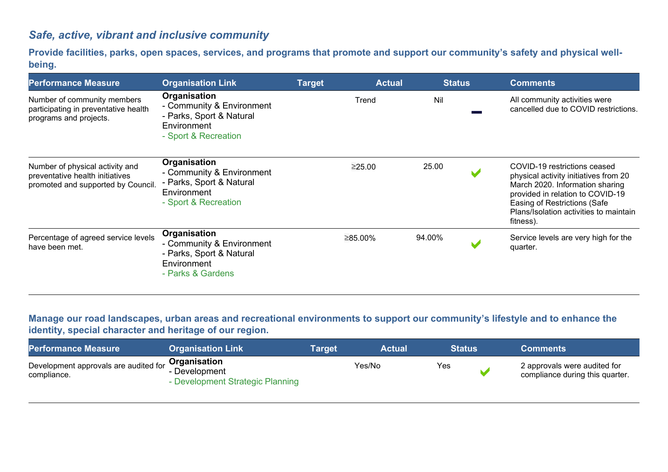## *Safe, active, vibrant and inclusive community*

**Provide facilities, parks, open spaces, services, and programs that promote and support our community's safety and physical wellbeing.**

| <b>Performance Measure</b>                                                                               | <b>Organisation Link</b>                                                                                            | <b>Target</b> | <b>Actual</b> | <b>Status</b> |                       | <b>Comments</b>                                                                                                                                                                                                                     |
|----------------------------------------------------------------------------------------------------------|---------------------------------------------------------------------------------------------------------------------|---------------|---------------|---------------|-----------------------|-------------------------------------------------------------------------------------------------------------------------------------------------------------------------------------------------------------------------------------|
| Number of community members<br>participating in preventative health<br>programs and projects.            | <b>Organisation</b><br>- Community & Environment<br>- Parks, Sport & Natural<br>Environment<br>- Sport & Recreation |               | Trend         | Nil           |                       | All community activities were<br>cancelled due to COVID restrictions.                                                                                                                                                               |
| Number of physical activity and<br>preventative health initiatives<br>promoted and supported by Council. | Organisation<br>- Community & Environment<br>- Parks, Sport & Natural<br>Environment<br>- Sport & Recreation        |               | ≥25.00        | 25.00         | $\blacktriangleright$ | COVID-19 restrictions ceased<br>physical activity initiatives from 20<br>March 2020. Information sharing<br>provided in relation to COVID-19<br>Easing of Restrictions (Safe<br>Plans/Isolation activities to maintain<br>fitness). |
| Percentage of agreed service levels<br>have been met.                                                    | Organisation<br>- Community & Environment<br>- Parks, Sport & Natural<br>Environment<br>- Parks & Gardens           |               | ≥85.00%       | 94.00%        |                       | Service levels are very high for the<br>quarter.                                                                                                                                                                                    |

## **Manage our road landscapes, urban areas and recreational environments to support our community's lifestyle and to enhance the identity, special character and heritage of our region.**

| <b>Performance Measure</b>                           | <b>Organisation Link</b>                                          | Tarqet | <b>Actual</b> | <b>Status</b> | <b>Comments</b>                                                 |
|------------------------------------------------------|-------------------------------------------------------------------|--------|---------------|---------------|-----------------------------------------------------------------|
| Development approvals are audited for<br>compliance. | Organisation<br>- Development<br>- Development Strategic Planning |        | Yes/No        | Yes           | 2 approvals were audited for<br>compliance during this quarter. |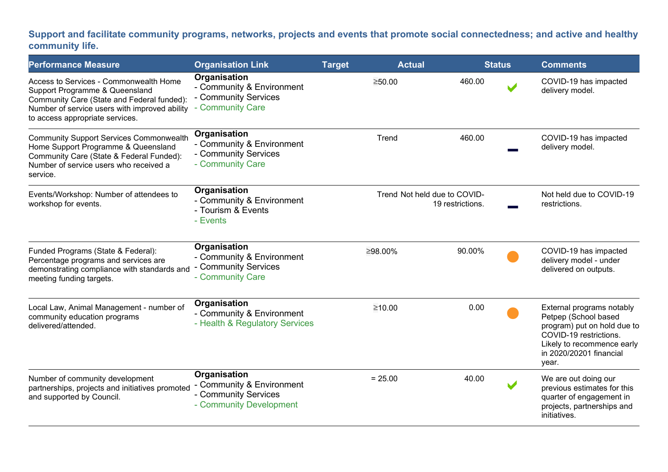## **Support and facilitate community programs, networks, projects and events that promote social connectedness; and active and healthy community life.**

| <b>Performance Measure</b>                                                                                                                                                                                 | <b>Organisation Link</b>                                                                     | <b>Target</b> | <b>Actual</b> |                                                  | <b>Status</b> | <b>Comments</b>                                                                                                                                                              |
|------------------------------------------------------------------------------------------------------------------------------------------------------------------------------------------------------------|----------------------------------------------------------------------------------------------|---------------|---------------|--------------------------------------------------|---------------|------------------------------------------------------------------------------------------------------------------------------------------------------------------------------|
| Access to Services - Commonwealth Home<br>Support Programme & Queensland<br>Community Care (State and Federal funded):<br>Number of service users with improved ability<br>to access appropriate services. | Organisation<br>- Community & Environment<br>- Community Services<br>- Community Care        |               | ≥50.00        | 460.00                                           |               | COVID-19 has impacted<br>delivery model.                                                                                                                                     |
| <b>Community Support Services Commonwealth</b><br>Home Support Programme & Queensland<br>Community Care (State & Federal Funded):<br>Number of service users who received a<br>service.                    | Organisation<br>- Community & Environment<br>- Community Services<br>- Community Care        |               | Trend         | 460.00                                           |               | COVID-19 has impacted<br>delivery model.                                                                                                                                     |
| Events/Workshop: Number of attendees to<br>workshop for events.                                                                                                                                            | Organisation<br>- Community & Environment<br>- Tourism & Events<br>- Events                  |               |               | Trend Not held due to COVID-<br>19 restrictions. |               | Not held due to COVID-19<br>restrictions.                                                                                                                                    |
| Funded Programs (State & Federal):<br>Percentage programs and services are<br>demonstrating compliance with standards and<br>meeting funding targets.                                                      | Organisation<br>- Community & Environment<br>- Community Services<br>- Community Care        |               | ≥98.00%       | 90.00%                                           |               | COVID-19 has impacted<br>delivery model - under<br>delivered on outputs.                                                                                                     |
| Local Law, Animal Management - number of<br>community education programs<br>delivered/attended.                                                                                                            | Organisation<br>- Community & Environment<br>- Health & Regulatory Services                  |               | ≥10.00        | 0.00                                             |               | External programs notably<br>Petpep (School based<br>program) put on hold due to<br>COVID-19 restrictions.<br>Likely to recommence early<br>in 2020/20201 financial<br>year. |
| Number of community development<br>partnerships, projects and initiatives promoted<br>and supported by Council.                                                                                            | Organisation<br>- Community & Environment<br>- Community Services<br>- Community Development |               | $= 25.00$     | 40.00                                            |               | We are out doing our<br>previous estimates for this<br>quarter of engagement in<br>projects, partnerships and<br>initiatives.                                                |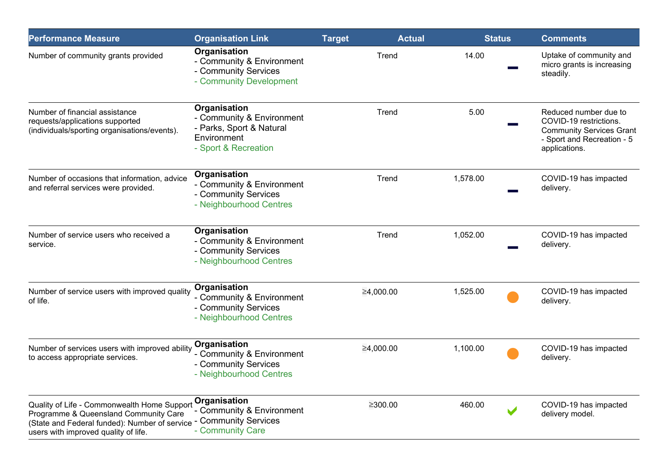| <b>Performance Measure</b>                                                                                                                                                                         | <b>Organisation Link</b>                                                                                     | <b>Target</b> | <b>Actual</b> | <b>Status</b> | <b>Comments</b>                                                                                                                   |
|----------------------------------------------------------------------------------------------------------------------------------------------------------------------------------------------------|--------------------------------------------------------------------------------------------------------------|---------------|---------------|---------------|-----------------------------------------------------------------------------------------------------------------------------------|
| Number of community grants provided                                                                                                                                                                | Organisation<br>- Community & Environment<br>- Community Services<br>- Community Development                 |               | Trend         | 14.00         | Uptake of community and<br>micro grants is increasing<br>steadily.                                                                |
| Number of financial assistance<br>requests/applications supported<br>(individuals/sporting organisations/events).                                                                                  | Organisation<br>- Community & Environment<br>- Parks, Sport & Natural<br>Environment<br>- Sport & Recreation |               | Trend         | 5.00          | Reduced number due to<br>COVID-19 restrictions.<br><b>Community Services Grant</b><br>- Sport and Recreation - 5<br>applications. |
| Number of occasions that information, advice<br>and referral services were provided.                                                                                                               | Organisation<br>- Community & Environment<br>- Community Services<br>- Neighbourhood Centres                 |               | Trend         | 1,578.00      | COVID-19 has impacted<br>delivery.                                                                                                |
| Number of service users who received a<br>service.                                                                                                                                                 | Organisation<br>- Community & Environment<br>- Community Services<br>- Neighbourhood Centres                 |               | Trend         | 1,052.00      | COVID-19 has impacted<br>delivery.                                                                                                |
| Number of service users with improved quality<br>of life.                                                                                                                                          | Organisation<br>- Community & Environment<br>- Community Services<br>- Neighbourhood Centres                 |               | ≥4,000.00     | 1,525.00      | COVID-19 has impacted<br>delivery.                                                                                                |
| Number of services users with improved ability<br>to access appropriate services.                                                                                                                  | Organisation<br>- Community & Environment<br>- Community Services<br>- Neighbourhood Centres                 |               | ≥4,000.00     | 1,100.00      | COVID-19 has impacted<br>delivery.                                                                                                |
| Quality of Life - Commonwealth Home Support<br>Programme & Queensland Community Care<br>(State and Federal funded): Number of service - Community Services<br>users with improved quality of life. | Organisation<br>- Community & Environment<br>- Community Care                                                |               | ≥300.00       | 460.00        | COVID-19 has impacted<br>delivery model.                                                                                          |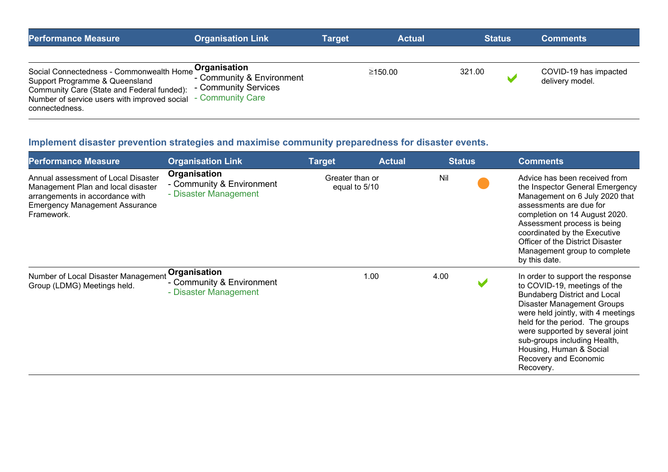| <b>Performance Measure</b>                                                                                                                                                                | Organisation Link                                                 | <b>Actual</b><br><b>Target</b> |         | <b>Status</b> |  | <b>Comments</b>                          |  |
|-------------------------------------------------------------------------------------------------------------------------------------------------------------------------------------------|-------------------------------------------------------------------|--------------------------------|---------|---------------|--|------------------------------------------|--|
| Social Connectedness - Commonwealth Home<br>Support Programme & Queensland<br>Community Care (State and Federal funded):<br>Number of service users with improved social - Community Care | Organisation<br>- Community & Environment<br>- Community Services |                                | ≥150.00 | 321.00        |  | COVID-19 has impacted<br>delivery model. |  |
| connectedness.                                                                                                                                                                            |                                                                   |                                |         |               |  |                                          |  |

# **Implement disaster prevention strategies and maximise community preparedness for disaster events.**

| <b>Performance Measure</b>                                                                                                                                          | <b>Organisation Link</b>                                           | <b>Target</b> | <b>Actual</b>                    | <b>Status</b> | <b>Comments</b>                                                                                                                                                                                                                                                                                                                                           |
|---------------------------------------------------------------------------------------------------------------------------------------------------------------------|--------------------------------------------------------------------|---------------|----------------------------------|---------------|-----------------------------------------------------------------------------------------------------------------------------------------------------------------------------------------------------------------------------------------------------------------------------------------------------------------------------------------------------------|
| Annual assessment of Local Disaster<br>Management Plan and local disaster<br>arrangements in accordance with<br><b>Emergency Management Assurance</b><br>Framework. | Organisation<br>- Community & Environment<br>- Disaster Management |               | Greater than or<br>equal to 5/10 |               | Advice has been received from<br>the Inspector General Emergency<br>Management on 6 July 2020 that<br>assessments are due for<br>completion on 14 August 2020.<br>Assessment process is being<br>coordinated by the Executive<br>Officer of the District Disaster<br>Management group to complete<br>by this date.                                        |
| Number of Local Disaster Management<br>Group (LDMG) Meetings held.                                                                                                  | Organisation<br>- Community & Environment<br>- Disaster Management |               | 1.00                             | 4.00          | In order to support the response<br>to COVID-19, meetings of the<br><b>Bundaberg District and Local</b><br><b>Disaster Management Groups</b><br>were held jointly, with 4 meetings<br>held for the period. The groups<br>were supported by several joint<br>sub-groups including Health,<br>Housing, Human & Social<br>Recovery and Economic<br>Recovery. |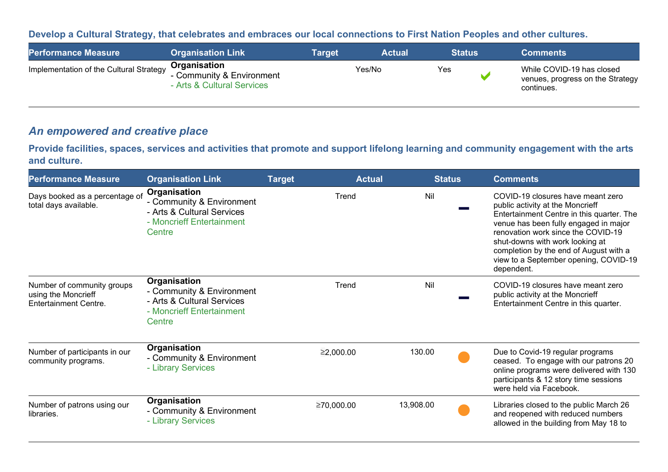#### **Develop a Cultural Strategy, that celebrates and embraces our local connections to First Nation Peoples and other cultures.**

| <b>Performance Measure</b>              | <b>Organisation Link</b>                                                | Target | <b>Actual</b> | <b>Status</b> | <b>Comments</b>                                                             |
|-----------------------------------------|-------------------------------------------------------------------------|--------|---------------|---------------|-----------------------------------------------------------------------------|
| Implementation of the Cultural Strategy | Organisation<br>- Community & Environment<br>- Arts & Cultural Services |        | Yes/No        | Yes           | While COVID-19 has closed<br>venues, progress on the Strategy<br>continues. |

## *An empowered and creative place*

**Provide facilities, spaces, services and activities that promote and support lifelong learning and community engagement with the arts and culture.**

| <b>Performance Measure</b>                                                        | <b>Organisation Link</b>                                                                                       | <b>Target</b> | <b>Actual</b> | <b>Status</b> | <b>Comments</b>                                                                                                                                                                                                                                                                                                                       |
|-----------------------------------------------------------------------------------|----------------------------------------------------------------------------------------------------------------|---------------|---------------|---------------|---------------------------------------------------------------------------------------------------------------------------------------------------------------------------------------------------------------------------------------------------------------------------------------------------------------------------------------|
| Days booked as a percentage of<br>total days available.                           | Organisation<br>- Community & Environment<br>- Arts & Cultural Services<br>- Moncrieff Entertainment<br>Centre | Trend         | Nil           |               | COVID-19 closures have meant zero<br>public activity at the Moncrieff<br>Entertainment Centre in this quarter. The<br>venue has been fully engaged in major<br>renovation work since the COVID-19<br>shut-downs with work looking at<br>completion by the end of August with a<br>view to a September opening, COVID-19<br>dependent. |
| Number of community groups<br>using the Moncrieff<br><b>Entertainment Centre.</b> | Organisation<br>- Community & Environment<br>- Arts & Cultural Services<br>- Moncrieff Entertainment<br>Centre | Trend         | Nil           |               | COVID-19 closures have meant zero<br>public activity at the Moncrieff<br>Entertainment Centre in this quarter.                                                                                                                                                                                                                        |
| Number of participants in our<br>community programs.                              | Organisation<br>- Community & Environment<br>- Library Services                                                | ≥2,000.00     | 130.00        |               | Due to Covid-19 regular programs<br>ceased. To engage with our patrons 20<br>online programs were delivered with 130<br>participants & 12 story time sessions<br>were held via Facebook.                                                                                                                                              |
| Number of patrons using our<br>libraries.                                         | Organisation<br>- Community & Environment<br>- Library Services                                                | ≥70,000.00    | 13,908.00     |               | Libraries closed to the public March 26<br>and reopened with reduced numbers<br>allowed in the building from May 18 to                                                                                                                                                                                                                |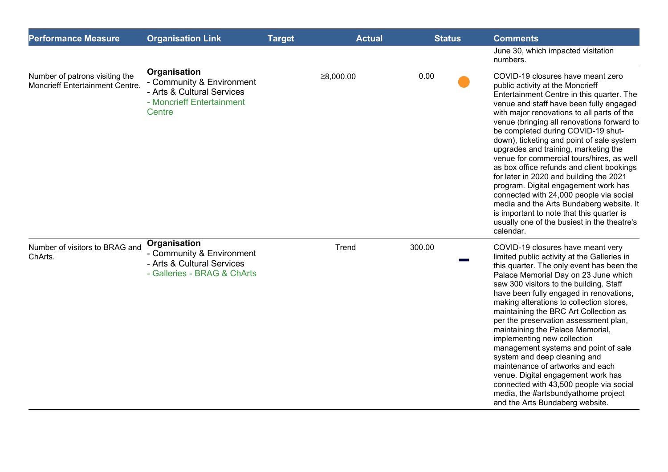| <b>Performance Measure</b>                                        | <b>Organisation Link</b>                                                                                       | <b>Target</b> | <b>Actual</b> | <b>Status</b> | <b>Comments</b>                                                                                                                                                                                                                                                                                                                                                                                                                                                                                                                                                                                                                                                                                                                                                   |
|-------------------------------------------------------------------|----------------------------------------------------------------------------------------------------------------|---------------|---------------|---------------|-------------------------------------------------------------------------------------------------------------------------------------------------------------------------------------------------------------------------------------------------------------------------------------------------------------------------------------------------------------------------------------------------------------------------------------------------------------------------------------------------------------------------------------------------------------------------------------------------------------------------------------------------------------------------------------------------------------------------------------------------------------------|
|                                                                   |                                                                                                                |               |               |               | June 30, which impacted visitation<br>numbers.                                                                                                                                                                                                                                                                                                                                                                                                                                                                                                                                                                                                                                                                                                                    |
| Number of patrons visiting the<br>Moncrieff Entertainment Centre. | Organisation<br>- Community & Environment<br>- Arts & Cultural Services<br>- Moncrieff Entertainment<br>Centre |               | ≥8,000.00     | 0.00          | COVID-19 closures have meant zero<br>public activity at the Moncrieff<br>Entertainment Centre in this quarter. The<br>venue and staff have been fully engaged<br>with major renovations to all parts of the<br>venue (bringing all renovations forward to<br>be completed during COVID-19 shut-<br>down), ticketing and point of sale system<br>upgrades and training, marketing the<br>venue for commercial tours/hires, as well<br>as box office refunds and client bookings<br>for later in 2020 and building the 2021<br>program. Digital engagement work has<br>connected with 24,000 people via social<br>media and the Arts Bundaberg website. It<br>is important to note that this quarter is<br>usually one of the busiest in the theatre's<br>calendar. |
| Number of visitors to BRAG and<br>ChArts.                         | Organisation<br>- Community & Environment<br>- Arts & Cultural Services<br>- Galleries - BRAG & ChArts         |               | Trend         | 300.00        | COVID-19 closures have meant very<br>limited public activity at the Galleries in<br>this quarter. The only event has been the<br>Palace Memorial Day on 23 June which<br>saw 300 visitors to the building. Staff<br>have been fully engaged in renovations,<br>making alterations to collection stores,<br>maintaining the BRC Art Collection as<br>per the preservation assessment plan,<br>maintaining the Palace Memorial,<br>implementing new collection<br>management systems and point of sale<br>system and deep cleaning and<br>maintenance of artworks and each<br>venue. Digital engagement work has<br>connected with 43,500 people via social<br>media, the #artsbundyathome project<br>and the Arts Bundaberg website.                               |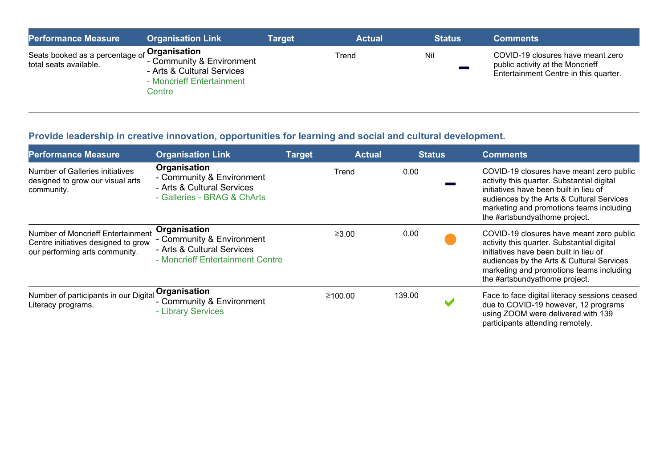| <b>Performance Measure</b>                                | <b>Organisation Link</b>                                                                                                    | Target | <b>Actual</b> | <b>Status</b> | <b>Comments</b>                                                                                                |
|-----------------------------------------------------------|-----------------------------------------------------------------------------------------------------------------------------|--------|---------------|---------------|----------------------------------------------------------------------------------------------------------------|
| Seats booked as a percentage of<br>total seats available. | <sub>f</sub> Organisation<br>- Community & Environment<br>- Arts & Cultural Services<br>- Moncrieff Entertainment<br>Centre |        | Trend         | Nil           | COVID-19 closures have meant zero<br>public activity at the Moncrieff<br>Entertainment Centre in this quarter. |

## **Provide leadership in creative innovation, opportunities for learning and social and cultural development.**

| <b>Performance Measure</b>                                                                                 | <b>Organisation Link</b>                                                                                    | <b>Target</b> | <b>Actual</b> | <b>Status</b> | <b>Comments</b>                                                                                                                                                                                                                                            |
|------------------------------------------------------------------------------------------------------------|-------------------------------------------------------------------------------------------------------------|---------------|---------------|---------------|------------------------------------------------------------------------------------------------------------------------------------------------------------------------------------------------------------------------------------------------------------|
| <b>Number of Galleries initiatives</b><br>designed to grow our visual arts<br>community.                   | Organisation<br>- Community & Environment<br>- Arts & Cultural Services<br>- Galleries - BRAG & ChArts      | Trend         |               | 0.00          | COVID-19 closures have meant zero public<br>activity this quarter. Substantial digital<br>initiatives have been built in lieu of<br>audiences by the Arts & Cultural Services<br>marketing and promotions teams including<br>the #artsbundyathome project. |
| Number of Moncrieff Entertainment<br>Centre initiatives designed to grow<br>our performing arts community. | Organisation<br>- Community & Environment<br>- Arts & Cultural Services<br>- Moncrieff Entertainment Centre | $\geq 3.00$   |               | 0.00          | COVID-19 closures have meant zero public<br>activity this quarter. Substantial digital<br>initiatives have been built in lieu of<br>audiences by the Arts & Cultural Services<br>marketing and promotions teams including<br>the #artsbundyathome project. |
| Number of participants in our Digital Organisation<br>Literacy programs.                                   | - Community & Environment<br>- Library Services                                                             | ≥100.00       | 139.00        |               | Face to face digital literacy sessions ceased<br>due to COVID-19 however, 12 programs<br>using ZOOM were delivered with 139<br>participants attending remotely.                                                                                            |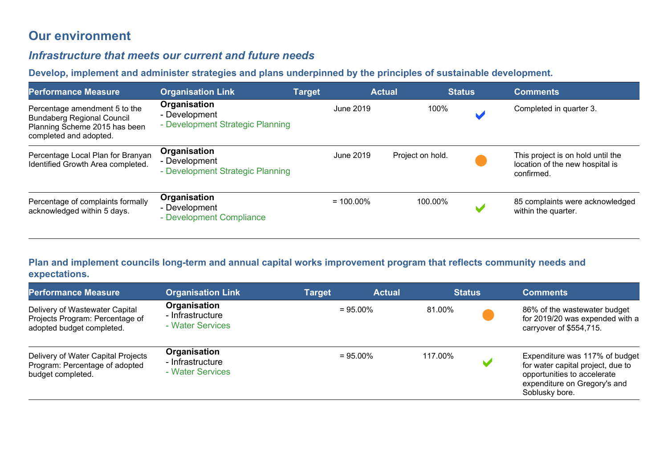# **Our environment**

## *Infrastructure that meets our current and future needs*

#### **Develop, implement and administer strategies and plans underpinned by the principles of sustainable development.**

| <b>Performance Measure</b>                                                                                                    | <b>Organisation Link</b>                                          | <b>Target</b> | <b>Actual</b> |                  | <b>Status</b> | <b>Comments</b>                                                                    |
|-------------------------------------------------------------------------------------------------------------------------------|-------------------------------------------------------------------|---------------|---------------|------------------|---------------|------------------------------------------------------------------------------------|
| Percentage amendment 5 to the<br><b>Bundaberg Regional Council</b><br>Planning Scheme 2015 has been<br>completed and adopted. | Organisation<br>- Development<br>- Development Strategic Planning |               | June 2019     | 100%             |               | Completed in quarter 3.                                                            |
| Percentage Local Plan for Branyan<br>Identified Growth Area completed.                                                        | Organisation<br>- Development<br>- Development Strategic Planning |               | June 2019     | Project on hold. |               | This project is on hold until the<br>location of the new hospital is<br>confirmed. |
| Percentage of complaints formally<br>acknowledged within 5 days.                                                              | Organisation<br>- Development<br>- Development Compliance         |               | $= 100.00\%$  | 100.00%          |               | 85 complaints were acknowledged<br>within the quarter.                             |

#### **Plan and implement councils long-term and annual capital works improvement program that reflects community needs and expectations.**

| <b>Performance Measure</b>                                                                     | <b>Organisation Link</b>                             | Target | <b>Actual</b> | <b>Status</b> | <b>Comments</b>                                                                                                                                      |
|------------------------------------------------------------------------------------------------|------------------------------------------------------|--------|---------------|---------------|------------------------------------------------------------------------------------------------------------------------------------------------------|
| Delivery of Wastewater Capital<br>Projects Program: Percentage of<br>adopted budget completed. | Organisation<br>- Infrastructure<br>- Water Services |        | $= 95.00\%$   | 81.00%        | 86% of the wastewater budget<br>for 2019/20 was expended with a<br>carryover of \$554,715.                                                           |
| Delivery of Water Capital Projects<br>Program: Percentage of adopted<br>budget completed.      | Organisation<br>- Infrastructure<br>- Water Services |        | $= 95.00\%$   | 117.00%       | Expenditure was 117% of budget<br>for water capital project, due to<br>opportunities to accelerate<br>expenditure on Gregory's and<br>Soblusky bore. |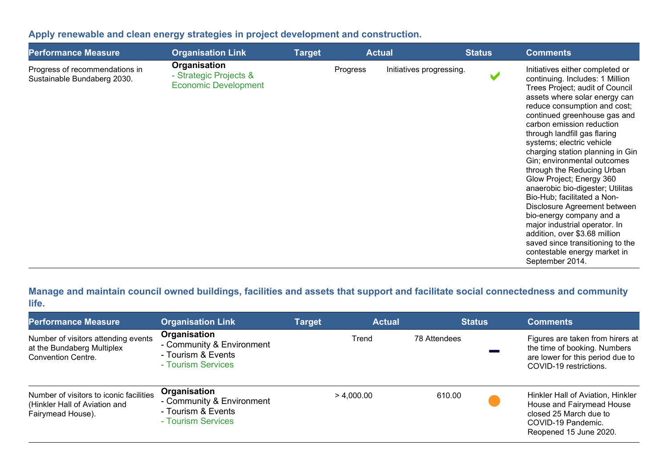## **Apply renewable and clean energy strategies in project development and construction.**

| <b>Performance Measure</b>                                    | <b>Organisation Link</b>                                              | <b>Target</b> |          | <b>Actual</b>            | <b>Status</b> | <b>Comments</b>                                                                                                                                                                                                                                                                                                                                                                                                                                                                                                                                                                                                                                                                                                       |
|---------------------------------------------------------------|-----------------------------------------------------------------------|---------------|----------|--------------------------|---------------|-----------------------------------------------------------------------------------------------------------------------------------------------------------------------------------------------------------------------------------------------------------------------------------------------------------------------------------------------------------------------------------------------------------------------------------------------------------------------------------------------------------------------------------------------------------------------------------------------------------------------------------------------------------------------------------------------------------------------|
| Progress of recommendations in<br>Sustainable Bundaberg 2030. | Organisation<br>- Strategic Projects &<br><b>Economic Development</b> |               | Progress | Initiatives progressing. |               | Initiatives either completed or<br>continuing. Includes: 1 Million<br>Trees Project; audit of Council<br>assets where solar energy can<br>reduce consumption and cost;<br>continued greenhouse gas and<br>carbon emission reduction<br>through landfill gas flaring<br>systems; electric vehicle<br>charging station planning in Gin<br>Gin; environmental outcomes<br>through the Reducing Urban<br>Glow Project; Energy 360<br>anaerobic bio-digester; Utilitas<br>Bio-Hub; facilitated a Non-<br>Disclosure Agreement between<br>bio-energy company and a<br>major industrial operator. In<br>addition, over \$3.68 million<br>saved since transitioning to the<br>contestable energy market in<br>September 2014. |

**Manage and maintain council owned buildings, facilities and assets that support and facilitate social connectedness and community life.** 

| <b>Performance Measure</b>                                                                     | <b>Organisation Link</b>                                                              | <b>Target</b> | <b>Actual</b> | <b>Status</b> | <b>Comments</b>                                                                                                                          |
|------------------------------------------------------------------------------------------------|---------------------------------------------------------------------------------------|---------------|---------------|---------------|------------------------------------------------------------------------------------------------------------------------------------------|
| Number of visitors attending events<br>at the Bundaberg Multiplex<br><b>Convention Centre.</b> | Organisation<br>- Community & Environment<br>- Tourism & Events<br>- Tourism Services |               | Trend         | 78 Attendees  | Figures are taken from hirers at<br>the time of booking. Numbers<br>are lower for this period due to<br>COVID-19 restrictions.           |
| Number of visitors to iconic facilities<br>(Hinkler Hall of Aviation and<br>Fairymead House).  | Organisation<br>- Community & Environment<br>- Tourism & Events<br>- Tourism Services |               | > 4,000.00    | 610.00        | Hinkler Hall of Aviation, Hinkler<br>House and Fairymead House<br>closed 25 March due to<br>COVID-19 Pandemic.<br>Reopened 15 June 2020. |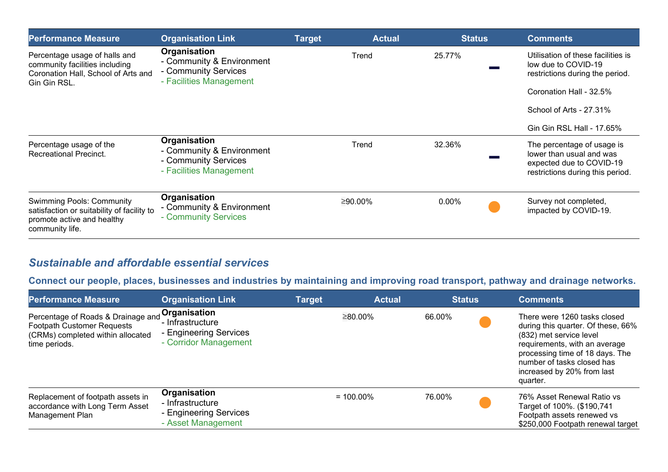| <b>Performance Measure</b>                                                                                                      | <b>Organisation Link</b>                                                                     | <b>Target</b> | <b>Actual</b> | <b>Status</b> | <b>Comments</b>                                                                                                        |
|---------------------------------------------------------------------------------------------------------------------------------|----------------------------------------------------------------------------------------------|---------------|---------------|---------------|------------------------------------------------------------------------------------------------------------------------|
| Percentage usage of halls and<br>community facilities including<br>Coronation Hall, School of Arts and<br>Gin Gin RSL.          | Organisation<br>- Community & Environment<br>- Community Services<br>- Facilities Management |               | Trend         | 25.77%        | Utilisation of these facilities is<br>low due to COVID-19<br>restrictions during the period.                           |
|                                                                                                                                 |                                                                                              |               |               |               | Coronation Hall - 32.5%                                                                                                |
|                                                                                                                                 |                                                                                              |               |               |               | School of Arts - 27.31%                                                                                                |
|                                                                                                                                 |                                                                                              |               |               |               | Gin Gin RSL Hall - 17.65%                                                                                              |
| Percentage usage of the<br><b>Recreational Precinct.</b>                                                                        | Organisation<br>- Community & Environment<br>- Community Services<br>- Facilities Management |               | Trend         | 32.36%        | The percentage of usage is<br>lower than usual and was<br>expected due to COVID-19<br>restrictions during this period. |
| <b>Swimming Pools: Community</b><br>satisfaction or suitability of facility to<br>promote active and healthy<br>community life. | Organisation<br>- Community & Environment<br>- Community Services                            |               | ≥90.00%       | $0.00\%$      | Survey not completed,<br>impacted by COVID-19.                                                                         |

## *Sustainable and affordable essential services*

**Connect our people, places, businesses and industries by maintaining and improving road transport, pathway and drainage networks.** 

| <b>Performance Measure</b>                                                                                                    | <b>Organisation Link</b>                                                            | <b>Target</b> | <b>Actual</b> | <b>Status</b> | <b>Comments</b>                                                                                                                                                                                                                           |
|-------------------------------------------------------------------------------------------------------------------------------|-------------------------------------------------------------------------------------|---------------|---------------|---------------|-------------------------------------------------------------------------------------------------------------------------------------------------------------------------------------------------------------------------------------------|
| Percentage of Roads & Drainage and<br><b>Footpath Customer Requests</b><br>(CRMs) completed within allocated<br>time periods. | Organisation<br>- Infrastructure<br>- Engineering Services<br>- Corridor Management |               | ≥80.00%       | 66.00%        | There were 1260 tasks closed<br>during this quarter. Of these, 66%<br>(832) met service level<br>requirements, with an average<br>processing time of 18 days. The<br>number of tasks closed has<br>increased by 20% from last<br>quarter. |
| Replacement of footpath assets in<br>accordance with Long Term Asset<br>Management Plan                                       | Organisation<br>- Infrastructure<br>- Engineering Services<br>- Asset Management    |               | $= 100.00\%$  | 76.00%        | 76% Asset Renewal Ratio vs<br>Target of 100%. (\$190,741<br>Footpath assets renewed vs<br>\$250,000 Footpath renewal target                                                                                                               |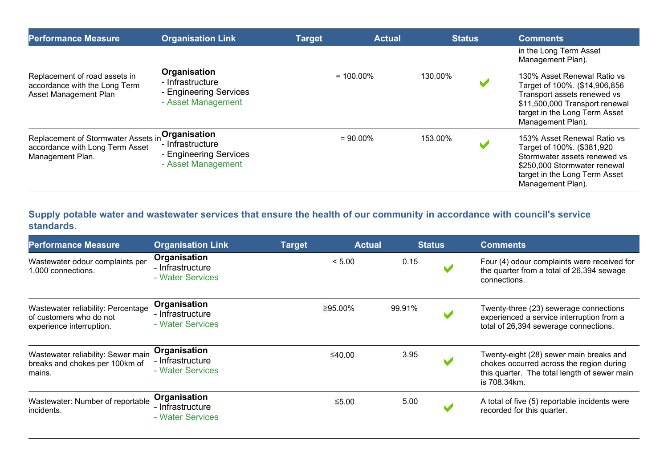| <b>Performance Measure</b>                                                                 | <b>Organisation Link</b>                                                         | <b>Target</b> | <b>Actual</b> | <b>Status</b> | <b>Comments</b>                                                                                                                                                                     |
|--------------------------------------------------------------------------------------------|----------------------------------------------------------------------------------|---------------|---------------|---------------|-------------------------------------------------------------------------------------------------------------------------------------------------------------------------------------|
|                                                                                            |                                                                                  |               |               |               | in the Long Term Asset<br>Management Plan).                                                                                                                                         |
| Replacement of road assets in<br>accordance with the Long Term<br>Asset Management Plan    | Organisation<br>- Infrastructure<br>- Engineering Services<br>- Asset Management |               | $= 100.00\%$  | 130.00%       | 130% Asset Renewal Ratio vs<br>Target of 100%. (\$14,906,856<br>Transport assets renewed vs<br>\$11,500,000 Transport renewal<br>target in the Long Term Asset<br>Management Plan). |
| Replacement of Stormwater Assets in<br>accordance with Long Term Asset<br>Management Plan. | Organisation<br>- Infrastructure<br>- Engineering Services<br>- Asset Management |               | $= 90.00\%$   | 153.00%       | 153% Asset Renewal Ratio vs<br>Target of 100%. (\$381,920<br>Stormwater assets renewed vs<br>\$250,000 Stormwater renewal<br>target in the Long Term Asset<br>Management Plan).     |

## **Supply potable water and wastewater services that ensure the health of our community in accordance with council's service standards.**

| <b>Performance Measure</b>                                                                | <b>Organisation Link</b>                             | <b>Target</b> | <b>Actual</b> |        | <u>Status</u> | <b>Comments</b>                                                                                                                                     |
|-------------------------------------------------------------------------------------------|------------------------------------------------------|---------------|---------------|--------|---------------|-----------------------------------------------------------------------------------------------------------------------------------------------------|
| Wastewater odour complaints per<br>1,000 connections.                                     | Organisation<br>- Infrastructure<br>- Water Services |               | < 5.00        | 0.15   |               | Four (4) odour complaints were received for<br>the quarter from a total of 26,394 sewage<br>connections.                                            |
| Wastewater reliability: Percentage<br>of customers who do not<br>experience interruption. | Organisation<br>- Infrastructure<br>- Water Services |               | $≥95.00\%$    | 99.91% |               | Twenty-three (23) sewerage connections<br>experienced a service interruption from a<br>total of 26,394 sewerage connections.                        |
| Wastewater reliability: Sewer main<br>breaks and chokes per 100km of<br>mains.            | Organisation<br>- Infrastructure<br>- Water Services |               | ≤40.00        | 3.95   |               | Twenty-eight (28) sewer main breaks and<br>chokes occurred across the region during<br>this quarter. The total length of sewer main<br>is 708.34km. |
| Wastewater: Number of reportable<br>incidents.                                            | Organisation<br>- Infrastructure<br>- Water Services |               | $≤5.00$       | 5.00   |               | A total of five (5) reportable incidents were<br>recorded for this quarter.                                                                         |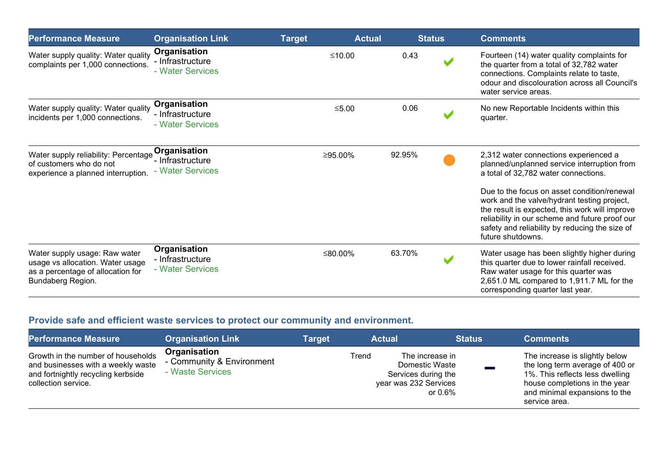| <b>Performance Measure</b>                                                                                                  | <b>Organisation Link</b>                             |  | <b>Actual</b> | <b>Status</b> | <b>Comments</b>                                                                                                                                                                                                                                                              |  |  |
|-----------------------------------------------------------------------------------------------------------------------------|------------------------------------------------------|--|---------------|---------------|------------------------------------------------------------------------------------------------------------------------------------------------------------------------------------------------------------------------------------------------------------------------------|--|--|
| Water supply quality: Water quality<br>complaints per 1,000 connections.                                                    | Organisation<br>- Infrastructure<br>- Water Services |  | ≤10.00        | 0.43          | Fourteen (14) water quality complaints for<br>the quarter from a total of 32,782 water<br>connections. Complaints relate to taste,<br>odour and discolouration across all Council's<br>water service areas.                                                                  |  |  |
| Water supply quality: Water quality<br>incidents per 1,000 connections.                                                     | Organisation<br>- Infrastructure<br>- Water Services |  | $≤5.00$       | 0.06          | No new Reportable Incidents within this<br>quarter.                                                                                                                                                                                                                          |  |  |
| Water supply reliability: Percentage<br>of customers who do not<br>experience a planned interruption.                       | Organisation<br>- Infrastructure<br>- Water Services |  | ≥95.00%       | 92.95%        | 2,312 water connections experienced a<br>planned/unplanned service interruption from<br>a total of 32,782 water connections.<br>Due to the focus on asset condition/renewal<br>work and the valve/hydrant testing project,<br>the result is expected, this work will improve |  |  |
|                                                                                                                             |                                                      |  |               |               | reliability in our scheme and future proof our<br>safety and reliability by reducing the size of<br>future shutdowns.                                                                                                                                                        |  |  |
| Water supply usage: Raw water<br>usage vs allocation. Water usage<br>as a percentage of allocation for<br>Bundaberg Region. | Organisation<br>- Infrastructure<br>- Water Services |  | ≤80.00%       | 63.70%        | Water usage has been slightly higher during<br>this quarter due to lower rainfall received.<br>Raw water usage for this quarter was<br>2,651.0 ML compared to 1,911.7 ML for the<br>corresponding quarter last year.                                                         |  |  |

## **Provide safe and efficient waste services to protect our community and environment.**

| <b>Performance Measure</b>                                                                                                            | <b>Organisation Link</b>                                      | Target | <b>Actual</b>                                         | <b>Status</b>                                   | <b>Comments</b>                                                                                                                                                                         |
|---------------------------------------------------------------------------------------------------------------------------------------|---------------------------------------------------------------|--------|-------------------------------------------------------|-------------------------------------------------|-----------------------------------------------------------------------------------------------------------------------------------------------------------------------------------------|
| Growth in the number of households<br>and businesses with a weekly waste<br>and fortnightly recycling kerbside<br>collection service. | Organisation<br>- Community & Environment<br>- Waste Services |        | Trend<br>Services during the<br>year was 232 Services | The increase in<br>Domestic Waste<br>or $0.6\%$ | The increase is slightly below<br>the long term average of 400 or<br>1%. This reflects less dwelling<br>house completions in the year<br>and minimal expansions to the<br>service area. |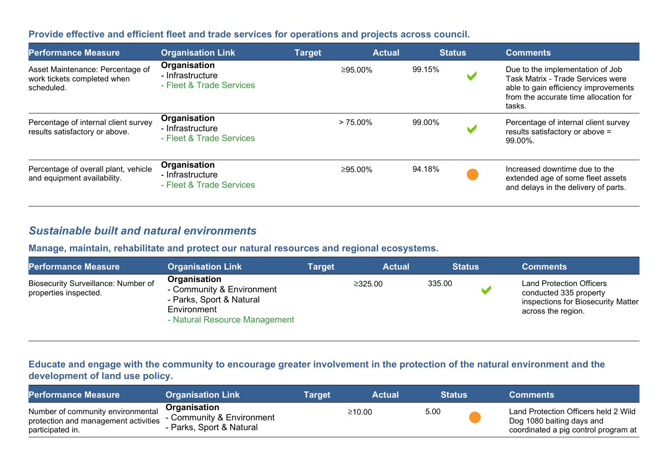#### **Provide effective and efficient fleet and trade services for operations and projects across council.**

| <b>Performance Measure</b>                                                    | <b>Organisation Link</b>                                            | <b>Target</b> | <b>Actual</b> |        | <b>Status</b> | <b>Comments</b>                                                                                                                                                  |
|-------------------------------------------------------------------------------|---------------------------------------------------------------------|---------------|---------------|--------|---------------|------------------------------------------------------------------------------------------------------------------------------------------------------------------|
| Asset Maintenance: Percentage of<br>work tickets completed when<br>scheduled. | <b>Organisation</b><br>- Infrastructure<br>- Fleet & Trade Services |               | ≥95.00%       | 99.15% |               | Due to the implementation of Job<br>Task Matrix - Trade Services were<br>able to gain efficiency improvements<br>from the accurate time allocation for<br>tasks. |
| Percentage of internal client survey<br>results satisfactory or above.        | Organisation<br>- Infrastructure<br>- Fleet & Trade Services        |               | $> 75.00\%$   | 99.00% |               | Percentage of internal client survey<br>results satisfactory or above =<br>99.00%.                                                                               |
| Percentage of overall plant, vehicle<br>and equipment availability.           | Organisation<br>- Infrastructure<br>- Fleet & Trade Services        |               | ≥95.00%       | 94.18% |               | Increased downtime due to the<br>extended age of some fleet assets<br>and delays in the delivery of parts.                                                       |

## *Sustainable built and natural environments*

#### **Manage, maintain, rehabilitate and protect our natural resources and regional ecosystems.**

| <b>Performance Measure</b>                                   | <b>Organisation Link</b>                                                                                              | <b>Target</b> | <b>Actual</b> | <b>Status</b> | <b>Comments</b>                                                                                                       |  |
|--------------------------------------------------------------|-----------------------------------------------------------------------------------------------------------------------|---------------|---------------|---------------|-----------------------------------------------------------------------------------------------------------------------|--|
| Biosecurity Surveillance: Number of<br>properties inspected. | Organisation<br>- Community & Environment<br>- Parks, Sport & Natural<br>Environment<br>- Natural Resource Management |               | ≥325.00       | 335.00        | <b>Land Protection Officers</b><br>conducted 335 property<br>inspections for Biosecurity Matter<br>across the region. |  |

#### **Educate and engage with the community to encourage greater involvement in the protection of the natural environment and the development of land use policy.**

| <b>Performance Measure</b>                                                                    | <b>Organisation Link</b>                                              | Target | Actual |      | <b>Status</b> | <b>Comments</b>                                                                                           |
|-----------------------------------------------------------------------------------------------|-----------------------------------------------------------------------|--------|--------|------|---------------|-----------------------------------------------------------------------------------------------------------|
| Number of community environmental<br>protection and management activities<br>participated in. | Organisation<br>- Community & Environment<br>- Parks, Sport & Natural |        | ≥10.00 | 5.00 |               | Land Protection Officers held 2 Wild<br>Dog 1080 baiting days and<br>coordinated a pig control program at |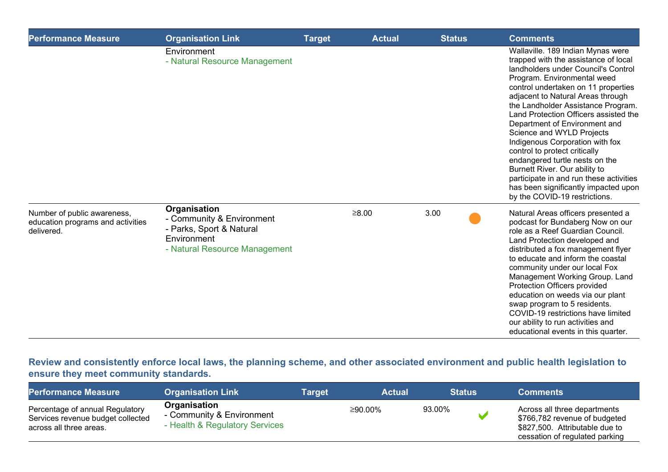| <b>Performance Measure</b>                                                     | <b>Organisation Link</b>                                                                                              | <b>Target</b> | <b>Actual</b> | <b>Status</b> | <b>Comments</b>                                                                                                                                                                                                                                                                                                                                                                                                                                                                                                                                                                                                                     |
|--------------------------------------------------------------------------------|-----------------------------------------------------------------------------------------------------------------------|---------------|---------------|---------------|-------------------------------------------------------------------------------------------------------------------------------------------------------------------------------------------------------------------------------------------------------------------------------------------------------------------------------------------------------------------------------------------------------------------------------------------------------------------------------------------------------------------------------------------------------------------------------------------------------------------------------------|
|                                                                                | Environment<br>- Natural Resource Management                                                                          |               |               |               | Wallaville. 189 Indian Mynas were<br>trapped with the assistance of local<br>landholders under Council's Control<br>Program. Environmental weed<br>control undertaken on 11 properties<br>adjacent to Natural Areas through<br>the Landholder Assistance Program.<br>Land Protection Officers assisted the<br>Department of Environment and<br>Science and WYLD Projects<br>Indigenous Corporation with fox<br>control to protect critically<br>endangered turtle nests on the<br>Burnett River. Our ability to<br>participate in and run these activities<br>has been significantly impacted upon<br>by the COVID-19 restrictions. |
| Number of public awareness,<br>education programs and activities<br>delivered. | Organisation<br>- Community & Environment<br>- Parks, Sport & Natural<br>Environment<br>- Natural Resource Management |               | $\geq 8.00$   | 3.00          | Natural Areas officers presented a<br>podcast for Bundaberg Now on our<br>role as a Reef Guardian Council.<br>Land Protection developed and<br>distributed a fox management flyer<br>to educate and inform the coastal<br>community under our local Fox<br>Management Working Group. Land<br>Protection Officers provided<br>education on weeds via our plant<br>swap program to 5 residents.<br>COVID-19 restrictions have limited<br>our ability to run activities and<br>educational events in this quarter.                                                                                                                     |

**Review and consistently enforce local laws, the planning scheme, and other associated environment and public health legislation to ensure they meet community standards.**

| <b>Performance Measure</b>                                                                      | <b>Organisation Link</b>                                                    | Target | <b>Actual</b> | <b>Status</b> | <b>Comments</b>                                                                                                                   |
|-------------------------------------------------------------------------------------------------|-----------------------------------------------------------------------------|--------|---------------|---------------|-----------------------------------------------------------------------------------------------------------------------------------|
| Percentage of annual Regulatory<br>Services revenue budget collected<br>across all three areas. | Organisation<br>- Community & Environment<br>- Health & Regulatory Services |        | ≥90.00%       | 93.00%        | Across all three departments<br>\$766,782 revenue of budgeted<br>\$827,500. Attributable due to<br>cessation of regulated parking |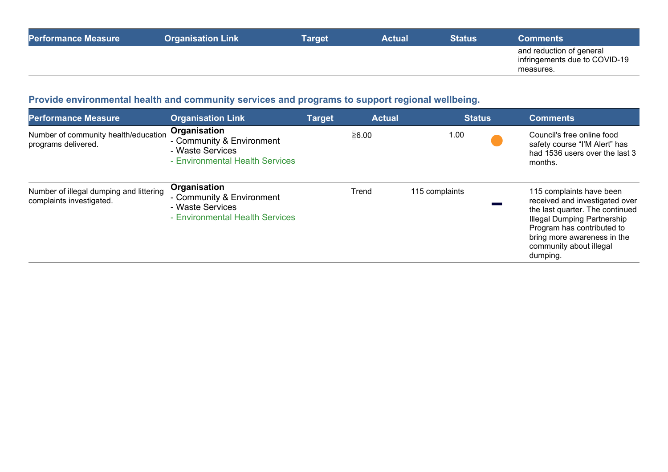| <b>Performance Measure</b> | <b>Organisation Link</b> | Target | <b>Actual</b> | <b>Status</b> | <b>Comments</b>                                                        |
|----------------------------|--------------------------|--------|---------------|---------------|------------------------------------------------------------------------|
|                            |                          |        |               |               | and reduction of general<br>infringements due to COVID-19<br>measures. |

# **Provide environmental health and community services and programs to support regional wellbeing.**

| <b>Performance Measure</b>                                          | <b>Organisation Link</b>                                                                         | <b>Target</b> | <b>Actual</b> | <b>Status</b>  | <b>Comments</b>                                                                                                                                                                                                                         |
|---------------------------------------------------------------------|--------------------------------------------------------------------------------------------------|---------------|---------------|----------------|-----------------------------------------------------------------------------------------------------------------------------------------------------------------------------------------------------------------------------------------|
| Number of community health/education<br>programs delivered.         | Organisation<br>- Community & Environment<br>- Waste Services<br>- Environmental Health Services |               | ≥6.00         | 1.00           | Council's free online food<br>safety course "I'M Alert" has<br>had 1536 users over the last 3<br>months.                                                                                                                                |
| Number of illegal dumping and littering<br>complaints investigated. | Organisation<br>- Community & Environment<br>- Waste Services<br>- Environmental Health Services |               | Trend         | 115 complaints | 115 complaints have been<br>received and investigated over<br>the last quarter. The continued<br><b>Illegal Dumping Partnership</b><br>Program has contributed to<br>bring more awareness in the<br>community about illegal<br>dumping. |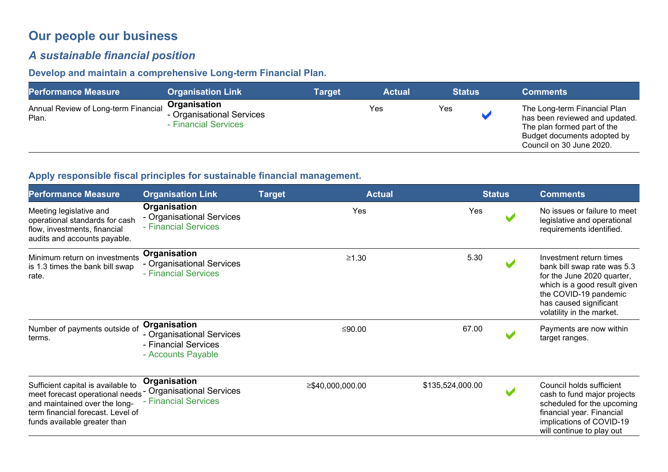# **Our people our business**

## *A sustainable financial position*

## **Develop and maintain a comprehensive Long-term Financial Plan.**

| <b>Performance Measure</b>                    | <b>Organisation Link</b>                                          | <b>Target</b> | <b>Actual</b> | <b>Status</b> | <b>Comments</b>                                                                                                                                          |
|-----------------------------------------------|-------------------------------------------------------------------|---------------|---------------|---------------|----------------------------------------------------------------------------------------------------------------------------------------------------------|
| Annual Review of Long-term Financial<br>Plan. | Organisation<br>- Organisational Services<br>- Financial Services |               | Yes           | Yes           | The Long-term Financial Plan<br>has been reviewed and updated.<br>The plan formed part of the<br>Budget documents adopted by<br>Council on 30 June 2020. |

#### **Apply responsible fiscal principles for sustainable financial management.**

| <b>Performance Measure</b>                                                                                                                                                                            | <b>Organisation Link</b>                                                                | <b>Target</b>    | <b>Actual</b>    | <b>Status</b> | <b>Comments</b>                                                                                                                                                                                      |
|-------------------------------------------------------------------------------------------------------------------------------------------------------------------------------------------------------|-----------------------------------------------------------------------------------------|------------------|------------------|---------------|------------------------------------------------------------------------------------------------------------------------------------------------------------------------------------------------------|
| Meeting legislative and<br>operational standards for cash<br>flow, investments, financial<br>audits and accounts payable.                                                                             | Organisation<br>- Organisational Services<br>- Financial Services                       | Yes              | Yes              |               | No issues or failure to meet<br>legislative and operational<br>requirements identified.                                                                                                              |
| Minimum return on investments<br>is 1.3 times the bank bill swap<br>rate.                                                                                                                             | Organisation<br>- Organisational Services<br>- Financial Services                       | ≥1.30            | 5.30             |               | Investment return times<br>bank bill swap rate was 5.3<br>for the June 2020 quarter,<br>which is a good result given<br>the COVID-19 pandemic<br>has caused significant<br>volatility in the market. |
| Number of payments outside of<br>terms.                                                                                                                                                               | Organisation<br>- Organisational Services<br>- Financial Services<br>- Accounts Payable | ≤90.00           | 67.00            |               | Payments are now within<br>target ranges.                                                                                                                                                            |
| Sufficient capital is available to<br>meet forecast operational needs - Organisational Services<br>and maintained over the long-<br>term financial forecast. Level of<br>funds available greater than | Organisation<br>- Financial Services                                                    | ≥\$40,000,000.00 | \$135,524,000.00 |               | Council holds sufficient<br>cash to fund major projects<br>scheduled for the upcoming<br>financial year. Financial<br>implications of COVID-19<br>will continue to play out                          |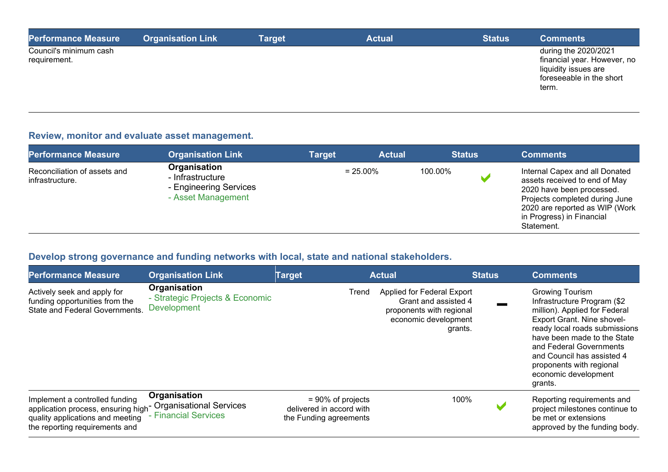| <b>Performance Measure</b>             | <b>Organisation Link</b> | <b>Target</b> | <b>Actual</b> | <b>Status</b> | <b>Comments</b>                                                                                                  |
|----------------------------------------|--------------------------|---------------|---------------|---------------|------------------------------------------------------------------------------------------------------------------|
| Council's minimum cash<br>requirement. |                          |               |               |               | during the 2020/2021<br>financial year. However, no<br>liquidity issues are<br>foreseeable in the short<br>term. |

#### **Review, monitor and evaluate asset management.**

| <b>Performance Measure</b>                      | <b>Organisation Link</b>                                                         | Target | <b>Actual</b> |         | <b>Status</b> | <b>Comments</b>                                                                                                                                                                                             |
|-------------------------------------------------|----------------------------------------------------------------------------------|--------|---------------|---------|---------------|-------------------------------------------------------------------------------------------------------------------------------------------------------------------------------------------------------------|
| Reconciliation of assets and<br>infrastructure. | Organisation<br>- Infrastructure<br>- Engineering Services<br>- Asset Management |        | $= 25.00\%$   | 100.00% |               | Internal Capex and all Donated<br>assets received to end of May<br>2020 have been processed.<br>Projects completed during June<br>2020 are reported as WIP (Work<br>in Progress) in Financial<br>Statement. |

# **Develop strong governance and funding networks with local, state and national stakeholders.**

| <b>Performance Measure</b>                                                                                                                                                      | <b>Organisation Link</b>                                                     | <b>Target</b>                                                              | <b>Actual</b>                                                                                                     | <b>Status</b> | <b>Comments</b>                                                                                                                                                                                                                                                                                              |
|---------------------------------------------------------------------------------------------------------------------------------------------------------------------------------|------------------------------------------------------------------------------|----------------------------------------------------------------------------|-------------------------------------------------------------------------------------------------------------------|---------------|--------------------------------------------------------------------------------------------------------------------------------------------------------------------------------------------------------------------------------------------------------------------------------------------------------------|
| Actively seek and apply for<br>funding opportunities from the<br><b>State and Federal Governments.</b>                                                                          | <b>Organisation</b><br>- Strategic Projects & Economic<br><b>Development</b> | Trend                                                                      | Applied for Federal Export<br>Grant and assisted 4<br>proponents with regional<br>economic development<br>grants. |               | <b>Growing Tourism</b><br>Infrastructure Program (\$2<br>million). Applied for Federal<br>Export Grant. Nine shovel-<br>ready local roads submissions<br>have been made to the State<br>and Federal Governments<br>and Council has assisted 4<br>proponents with regional<br>economic development<br>grants. |
| Implement a controlled funding<br>application process, ensuring high <sup>-</sup> Organisational Services<br>quality applications and meeting<br>the reporting requirements and | Organisation<br>- Financial Services                                         | $= 90\%$ of projects<br>delivered in accord with<br>the Funding agreements | 100%                                                                                                              |               | Reporting requirements and<br>project milestones continue to<br>be met or extensions<br>approved by the funding body.                                                                                                                                                                                        |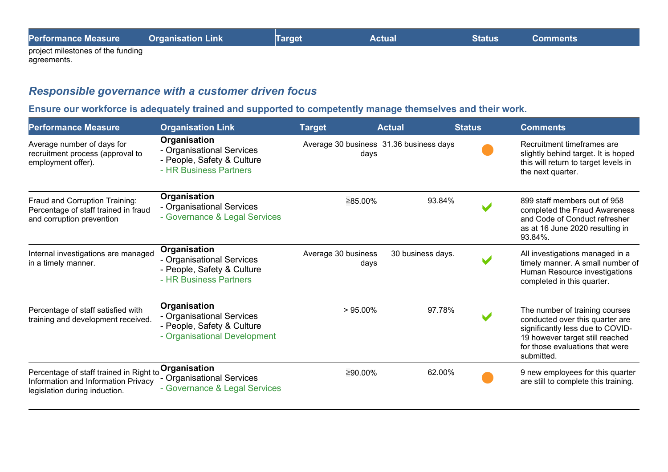| <b>Performance Measure</b>        | <b>Organisation Link</b> | <b>Target</b> | <b>Actual</b> | <b>Status</b> | <b>Comments</b> |
|-----------------------------------|--------------------------|---------------|---------------|---------------|-----------------|
| project milestones of the funding |                          |               |               |               |                 |
| agreements.                       |                          |               |               |               |                 |

## *Responsible governance with a customer driven focus*

## **Ensure our workforce is adequately trained and supported to competently manage themselves and their work.**

| <b>Performance Measure</b>                                                                                      | <b>Organisation Link</b>                                                                                 | <b>Target</b>                                   | <b>Actual</b>     | <b>Status</b> | <b>Comments</b>                                                                                                                                                                           |
|-----------------------------------------------------------------------------------------------------------------|----------------------------------------------------------------------------------------------------------|-------------------------------------------------|-------------------|---------------|-------------------------------------------------------------------------------------------------------------------------------------------------------------------------------------------|
| Average number of days for<br>recruitment process (approval to<br>employment offer).                            | <b>Organisation</b><br>- Organisational Services<br>- People, Safety & Culture<br>- HR Business Partners | Average 30 business 31.36 business days<br>days |                   |               | Recruitment timeframes are<br>slightly behind target. It is hoped<br>this will return to target levels in<br>the next quarter.                                                            |
| Fraud and Corruption Training:<br>Percentage of staff trained in fraud<br>and corruption prevention             | Organisation<br>- Organisational Services<br>- Governance & Legal Services                               | ≥85.00%                                         | 93.84%            |               | 899 staff members out of 958<br>completed the Fraud Awareness<br>and Code of Conduct refresher<br>as at 16 June 2020 resulting in<br>93.84%.                                              |
| Internal investigations are managed<br>in a timely manner.                                                      | Organisation<br>- Organisational Services<br>- People, Safety & Culture<br>- HR Business Partners        | Average 30 business<br>days                     | 30 business days. |               | All investigations managed in a<br>timely manner. A small number of<br>Human Resource investigations<br>completed in this quarter.                                                        |
| Percentage of staff satisfied with<br>training and development received.                                        | Organisation<br>- Organisational Services<br>- People, Safety & Culture<br>- Organisational Development  | $>95.00\%$                                      | 97.78%            |               | The number of training courses<br>conducted over this quarter are<br>significantly less due to COVID-<br>19 however target still reached<br>for those evaluations that were<br>submitted. |
| Percentage of staff trained in Right to<br>Information and Information Privacy<br>legislation during induction. | Organisation<br>- Organisational Services<br>- Governance & Legal Services                               | ≥90.00%                                         | 62.00%            |               | 9 new employees for this quarter<br>are still to complete this training.                                                                                                                  |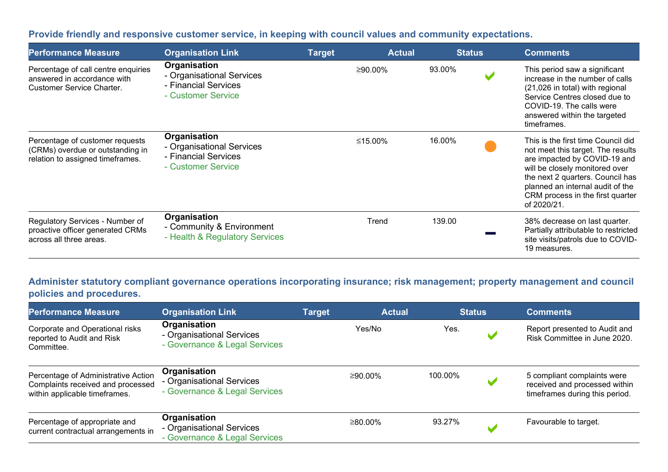## **Provide friendly and responsive customer service, in keeping with council values and community expectations.**

| <b>Performance Measure</b>                                                                              | <b>Organisation Link</b>                                                                       | <b>Target</b> | <b>Actual</b> | <b>Status</b> | <b>Comments</b>                                                                                                                                                                                                                                                      |
|---------------------------------------------------------------------------------------------------------|------------------------------------------------------------------------------------------------|---------------|---------------|---------------|----------------------------------------------------------------------------------------------------------------------------------------------------------------------------------------------------------------------------------------------------------------------|
| Percentage of call centre enquiries<br>answered in accordance with<br><b>Customer Service Charter.</b>  | <b>Organisation</b><br>- Organisational Services<br>- Financial Services<br>- Customer Service |               | ≥90.00%       | 93.00%        | This period saw a significant<br>increase in the number of calls<br>(21,026 in total) with regional<br>Service Centres closed due to<br>COVID-19. The calls were<br>answered within the targeted<br>timeframes.                                                      |
| Percentage of customer requests<br>(CRMs) overdue or outstanding in<br>relation to assigned timeframes. | Organisation<br>- Organisational Services<br>- Financial Services<br>- Customer Service        |               | ≤15.00%       | 16.00%        | This is the first time Council did<br>not meet this target. The results<br>are impacted by COVID-19 and<br>will be closely monitored over<br>the next 2 quarters. Council has<br>planned an internal audit of the<br>CRM process in the first quarter<br>of 2020/21. |
| Regulatory Services - Number of<br>proactive officer generated CRMs<br>across all three areas.          | Organisation<br>- Community & Environment<br>- Health & Regulatory Services                    |               | Trend         | 139.00        | 38% decrease on last quarter.<br>Partially attributable to restricted<br>site visits/patrols due to COVID-<br>19 measures.                                                                                                                                           |

## **Administer statutory compliant governance operations incorporating insurance; risk management; property management and council policies and procedures.**

| <b>Performance Measure</b>                                                                                | <b>Organisation Link</b>                                                   | <b>Target</b> | <b>Actual</b> | <b>Status</b> |                | <b>Comments</b>                                                                                |
|-----------------------------------------------------------------------------------------------------------|----------------------------------------------------------------------------|---------------|---------------|---------------|----------------|------------------------------------------------------------------------------------------------|
| Corporate and Operational risks<br>reported to Audit and Risk<br>Committee.                               | Organisation<br>- Organisational Services<br>- Governance & Legal Services |               | Yes/No        | Yes.          |                | Report presented to Audit and<br>Risk Committee in June 2020.                                  |
| Percentage of Administrative Action<br>Complaints received and processed<br>within applicable timeframes. | Organisation<br>- Organisational Services<br>- Governance & Legal Services |               | ≥90.00%       | 100.00%       | $\blacksquare$ | 5 compliant complaints were<br>received and processed within<br>timeframes during this period. |
| Percentage of appropriate and<br>current contractual arrangements in                                      | Organisation<br>- Organisational Services<br>- Governance & Legal Services |               | ≥80.00%       | 93.27%        |                | Favourable to target.                                                                          |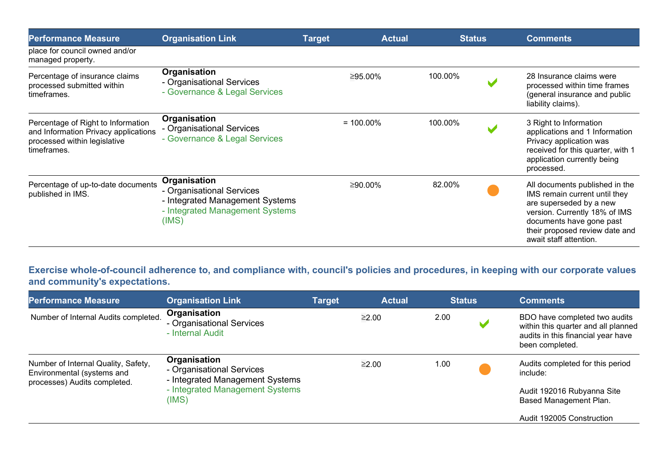| <b>Performance Measure</b>                                                                                                | <b>Organisation Link</b>                                                                                                 | <b>Target</b> | <b>Actual</b> | <b>Status</b> |  | <b>Comments</b>                                                                                                                                                                                                     |  |
|---------------------------------------------------------------------------------------------------------------------------|--------------------------------------------------------------------------------------------------------------------------|---------------|---------------|---------------|--|---------------------------------------------------------------------------------------------------------------------------------------------------------------------------------------------------------------------|--|
| place for council owned and/or<br>managed property.                                                                       |                                                                                                                          |               |               |               |  |                                                                                                                                                                                                                     |  |
| Percentage of insurance claims<br>processed submitted within<br>timeframes.                                               | Organisation<br>- Organisational Services<br>- Governance & Legal Services                                               |               | ≥95.00%       | 100.00%       |  | 28 Insurance claims were<br>processed within time frames<br>(general insurance and public<br>liability claims).                                                                                                     |  |
| Percentage of Right to Information<br>and Information Privacy applications<br>processed within legislative<br>timeframes. | Organisation<br>- Organisational Services<br>- Governance & Legal Services                                               |               | $= 100.00\%$  | 100.00%       |  | 3 Right to Information<br>applications and 1 Information<br>Privacy application was<br>received for this quarter, with 1<br>application currently being<br>processed.                                               |  |
| Percentage of up-to-date documents<br>published in IMS.                                                                   | Organisation<br>- Organisational Services<br>- Integrated Management Systems<br>- Integrated Management Systems<br>(IMS) |               | $≥90.00\%$    | 82.00%        |  | All documents published in the<br>IMS remain current until they<br>are superseded by a new<br>version. Currently 18% of IMS<br>documents have gone past<br>their proposed review date and<br>await staff attention. |  |

**Exercise whole-of-council adherence to, and compliance with, council's policies and procedures, in keeping with our corporate values and community's expectations.**

| <b>Performance Measure</b>                                                                        | <b>Organisation Link</b><br>Organisation<br>- Organisational Services<br>- Internal Audit                                | <b>Target</b> | <b>Actual</b> | <b>Status</b> | <b>Comments</b>                                                                                                               |  |
|---------------------------------------------------------------------------------------------------|--------------------------------------------------------------------------------------------------------------------------|---------------|---------------|---------------|-------------------------------------------------------------------------------------------------------------------------------|--|
| Number of Internal Audits completed.                                                              |                                                                                                                          |               | ≥2.00         | 2.00          | BDO have completed two audits<br>within this quarter and all planned<br>audits in this financial year have<br>been completed. |  |
| Number of Internal Quality, Safety,<br>Environmental (systems and<br>processes) Audits completed. | Organisation<br>- Organisational Services<br>- Integrated Management Systems<br>- Integrated Management Systems<br>(IMS) | ≥2.00         |               | 1.00          | Audits completed for this period<br>include:<br>Audit 192016 Rubyanna Site<br>Based Management Plan.                          |  |
|                                                                                                   |                                                                                                                          |               |               |               | Audit 192005 Construction                                                                                                     |  |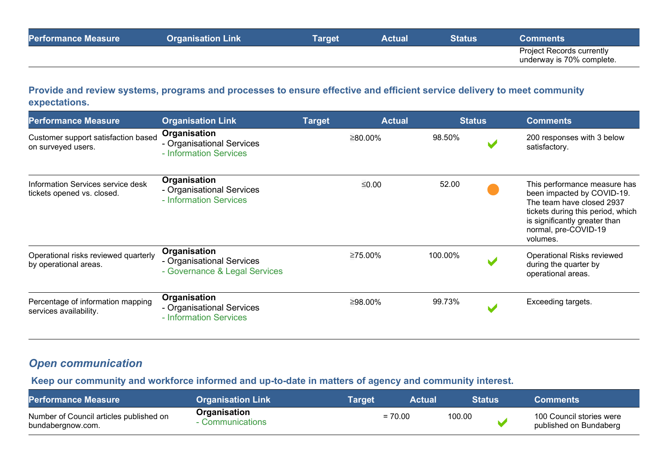|  |  | <b>Project Records currently</b><br>underway is 70% complete. |
|--|--|---------------------------------------------------------------|

#### **Provide and review systems, programs and processes to ensure effective and efficient service delivery to meet community expectations.**

| <b>Performance Measure</b>                                      | <b>Organisation Link</b>                                                   | <b>Target</b> | <b>Actual</b> |         | <b>Status</b> | <b>Comments</b>                                                                                                                                                                                   |
|-----------------------------------------------------------------|----------------------------------------------------------------------------|---------------|---------------|---------|---------------|---------------------------------------------------------------------------------------------------------------------------------------------------------------------------------------------------|
| Customer support satisfaction based<br>on surveyed users.       | Organisation<br>- Organisational Services<br>- Information Services        |               | ≥80.00%       | 98.50%  |               | 200 responses with 3 below<br>satisfactory.                                                                                                                                                       |
| Information Services service desk<br>tickets opened vs. closed. | Organisation<br>- Organisational Services<br>- Information Services        |               | ≤0.00         | 52.00   |               | This performance measure has<br>been impacted by COVID-19.<br>The team have closed 2937<br>tickets during this period, which<br>is significantly greater than<br>normal, pre-COVID-19<br>volumes. |
| Operational risks reviewed quarterly<br>by operational areas.   | Organisation<br>- Organisational Services<br>- Governance & Legal Services |               | ≥75.00%       | 100.00% |               | <b>Operational Risks reviewed</b><br>during the quarter by<br>operational areas.                                                                                                                  |
| Percentage of information mapping<br>services availability.     | Organisation<br>- Organisational Services<br>- Information Services        |               | ≥98.00%       | 99.73%  |               | Exceeding targets.                                                                                                                                                                                |

## *Open communication*

#### **Keep our community and workforce informed and up-to-date in matters of agency and community interest.**

| <b>Performance Measure</b>                                   | <b>Organisation Link</b>       | <b>Target</b> | <b>Actual</b> | <b>Status</b> | <b>Comments</b>                                    |
|--------------------------------------------------------------|--------------------------------|---------------|---------------|---------------|----------------------------------------------------|
| Number of Council articles published on<br>bundabergnow.com. | Organisation<br>Communications |               | $= 70.00$     | 100.00        | 100 Council stories were<br>published on Bundaberg |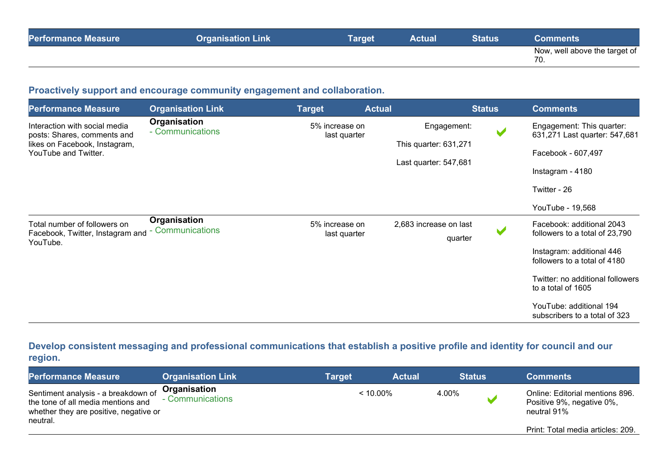| <b>Performance Measure</b> | <b>Organisation Link</b> | <b>Target</b> | <b>Actual</b> | Status | Comments                             |
|----------------------------|--------------------------|---------------|---------------|--------|--------------------------------------|
|                            |                          |               |               |        | Now, well above the target of<br>70. |

## **Proactively support and encourage community engagement and collaboration.**

| <b>Performance Measure</b>                                                                                            | <b>Organisation Link</b>              | <b>Target</b>                  | <b>Actual</b> |                                                               | <b>Status</b>        | <b>Comments</b>                                                                                                      |
|-----------------------------------------------------------------------------------------------------------------------|---------------------------------------|--------------------------------|---------------|---------------------------------------------------------------|----------------------|----------------------------------------------------------------------------------------------------------------------|
| Interaction with social media<br>posts: Shares, comments and<br>likes on Facebook, Instagram,<br>YouTube and Twitter. | Organisation<br>- Communications      | 5% increase on<br>last quarter |               | Engagement:<br>This quarter: 631,271<br>Last quarter: 547,681 | V                    | Engagement: This quarter:<br>631,271 Last quarter: 547,681<br>Facebook - 607,497<br>Instagram - 4180<br>Twitter - 26 |
|                                                                                                                       |                                       |                                |               |                                                               |                      | YouTube - 19,568                                                                                                     |
| Total number of followers on<br>Facebook, Twitter, Instagram and<br>YouTube.                                          | Organisation<br><b>Communications</b> | 5% increase on<br>last quarter |               | 2,683 increase on last<br>quarter                             | $\blacktriangledown$ | Facebook: additional 2043<br>followers to a total of 23,790                                                          |
|                                                                                                                       |                                       |                                |               |                                                               |                      | Instagram: additional 446<br>followers to a total of 4180                                                            |
|                                                                                                                       |                                       |                                |               |                                                               |                      | Twitter: no additional followers<br>to a total of 1605                                                               |
|                                                                                                                       |                                       |                                |               |                                                               |                      | YouTube: additional 194<br>subscribers to a total of 323                                                             |

## **Develop consistent messaging and professional communications that establish a positive profile and identity for council and our region.**

| <b>Performance Measure</b>                                                                                                      | <b>Organisation Link</b>         | Target      | <b>Actual</b> | <b>Status</b> | <b>Comments</b>                                                             |
|---------------------------------------------------------------------------------------------------------------------------------|----------------------------------|-------------|---------------|---------------|-----------------------------------------------------------------------------|
| Sentiment analysis - a breakdown of<br>the tone of all media mentions and<br>whether they are positive, negative or<br>neutral. | Organisation<br>- Communications | $< 10.00\%$ |               | 4.00%         | Online: Editorial mentions 896.<br>Positive 9%, negative 0%,<br>neutral 91% |
|                                                                                                                                 |                                  |             |               |               | Print: Total media articles: 209.                                           |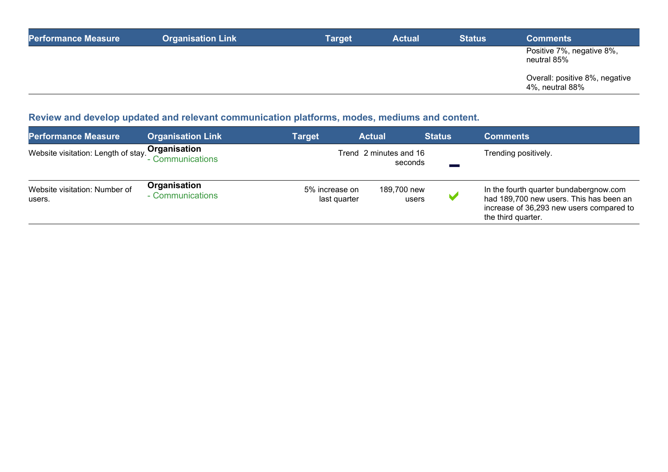| <b>Performance Measure</b> | <b>Organisation Link</b> | Target | <b>Actual</b> | <b>Status</b> | <b>Comments</b>                                   |
|----------------------------|--------------------------|--------|---------------|---------------|---------------------------------------------------|
|                            |                          |        |               |               | Positive 7%, negative 8%,<br>neutral 85%          |
|                            |                          |        |               |               | Overall: positive 8%, negative<br>4%, neutral 88% |

# **Review and develop updated and relevant communication platforms, modes, mediums and content.**

| <b>Performance Measure</b>              | <b>Organisation Link</b>         | <b>Target</b>                  | <b>Actual</b>                     | <b>Status</b> | <b>Comments</b>                                                                                                                                     |
|-----------------------------------------|----------------------------------|--------------------------------|-----------------------------------|---------------|-----------------------------------------------------------------------------------------------------------------------------------------------------|
| Website visitation: Length of stay.     | Organisation<br>- Communications |                                | Trend 2 minutes and 16<br>seconds |               | Trending positively.                                                                                                                                |
| Website visitation: Number of<br>users. | Organisation<br>- Communications | 5% increase on<br>last quarter | 189,700 new<br>users              |               | In the fourth quarter bundabergnow.com<br>had 189,700 new users. This has been an<br>increase of 36,293 new users compared to<br>the third quarter. |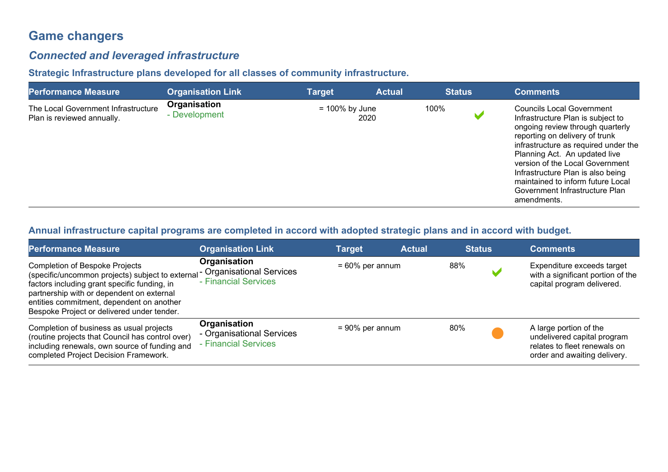# **Game changers**

## *Connected and leveraged infrastructure*

## **Strategic Infrastructure plans developed for all classes of community infrastructure.**

| <b>Performance Measure</b>                                        | <b>Organisation Link</b>      | <b>Target</b>     | <b>Actual</b> | <b>Status</b> | <b>Comments</b>                                                                                                                                                                                                                                                                                                                                                                    |
|-------------------------------------------------------------------|-------------------------------|-------------------|---------------|---------------|------------------------------------------------------------------------------------------------------------------------------------------------------------------------------------------------------------------------------------------------------------------------------------------------------------------------------------------------------------------------------------|
| The Local Government Infrastructure<br>Plan is reviewed annually. | Organisation<br>- Development | $= 100\%$ by June | 2020          | 100%          | <b>Councils Local Government</b><br>Infrastructure Plan is subject to<br>ongoing review through quarterly<br>reporting on delivery of trunk<br>infrastructure as required under the<br>Planning Act. An updated live<br>version of the Local Government<br>Infrastructure Plan is also being<br>maintained to inform future Local<br>Government Infrastructure Plan<br>amendments. |

## **Annual infrastructure capital programs are completed in accord with adopted strategic plans and in accord with budget.**

| <b>Performance Measure</b>                                                                                                                                                                                                                                                                                  | <b>Organisation Link</b>                                          | Target             | <b>Actual</b> | <b>Status</b> | <b>Comments</b>                                                                                                       |
|-------------------------------------------------------------------------------------------------------------------------------------------------------------------------------------------------------------------------------------------------------------------------------------------------------------|-------------------------------------------------------------------|--------------------|---------------|---------------|-----------------------------------------------------------------------------------------------------------------------|
| <b>Completion of Bespoke Projects</b><br>(specific/uncommon projects) subject to external - Organisational Services<br>factors including grant specific funding, in<br>partnership with or dependent on external<br>entities commitment, dependent on another<br>Bespoke Project or delivered under tender. | Organisation<br>- Financial Services                              | $= 60\%$ per annum |               | 88%           | Expenditure exceeds target<br>with a significant portion of the<br>capital program delivered.                         |
| Completion of business as usual projects<br>(routine projects that Council has control over)<br>including renewals, own source of funding and<br>completed Project Decision Framework.                                                                                                                      | Organisation<br>- Organisational Services<br>- Financial Services | $= 90\%$ per annum |               | 80%           | A large portion of the<br>undelivered capital program<br>relates to fleet renewals on<br>order and awaiting delivery. |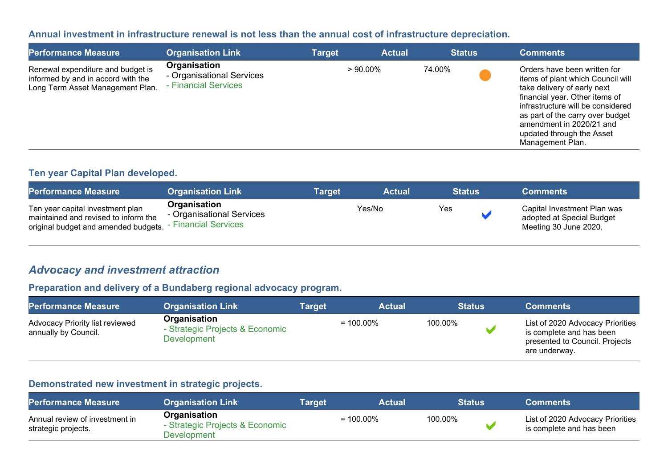#### **Annual investment in infrastructure renewal is not less than the annual cost of infrastructure depreciation.**

| <b>Performance Measure</b>                                                                                  | <b>Organisation Link</b>                                          | <b>Target</b> | <b>Actual</b> |        | <b>Status</b> | <b>Comments</b>                                                                                                                                                                                                                                                                          |
|-------------------------------------------------------------------------------------------------------------|-------------------------------------------------------------------|---------------|---------------|--------|---------------|------------------------------------------------------------------------------------------------------------------------------------------------------------------------------------------------------------------------------------------------------------------------------------------|
| Renewal expenditure and budget is<br>informed by and in accord with the<br>Long Term Asset Management Plan. | Organisation<br>- Organisational Services<br>- Financial Services |               | $>90.00\%$    | 74.00% |               | Orders have been written for<br>items of plant which Council will<br>take delivery of early next<br>financial year. Other items of<br>infrastructure will be considered<br>as part of the carry over budget<br>amendment in 2020/21 and<br>updated through the Asset<br>Management Plan. |

#### **Ten year Capital Plan developed.**

| <b>Performance Measure</b>                                                                                       | <b>Organisation Link</b>                                          | <b>Target</b> | <b>Actual</b> | <b>Status</b> | <b>Comments</b>                                                                   |
|------------------------------------------------------------------------------------------------------------------|-------------------------------------------------------------------|---------------|---------------|---------------|-----------------------------------------------------------------------------------|
| Ten year capital investment plan<br>maintained and revised to inform the<br>original budget and amended budgets. | Organisation<br>- Organisational Services<br>- Financial Services | Yes/No        |               | Yes           | Capital Investment Plan was<br>adopted at Special Budget<br>Meeting 30 June 2020. |

## *Advocacy and investment attraction*

#### **Preparation and delivery of a Bundaberg regional advocacy program.**

| <b>Performance Measure</b>                              | <b>Organisation Link</b>                                       | Target | <b>Actual</b> |         | <b>Status</b> | <b>Comments</b>                                                                                                 |
|---------------------------------------------------------|----------------------------------------------------------------|--------|---------------|---------|---------------|-----------------------------------------------------------------------------------------------------------------|
| Advocacy Priority list reviewed<br>annually by Council. | Organisation<br>- Strategic Projects & Economic<br>Development |        | $= 100.00\%$  | 100.00% |               | List of 2020 Advocacy Priorities<br>is complete and has been<br>presented to Council. Projects<br>are underway. |

## **Demonstrated new investment in strategic projects.**

| <b>Performance Measure</b>                            | <b>Organisation Link</b>                                       | <b>Target</b> | <b>Actual</b> | <b>Status</b> | <b>Comments</b>                                              |
|-------------------------------------------------------|----------------------------------------------------------------|---------------|---------------|---------------|--------------------------------------------------------------|
| Annual review of investment in<br>strategic projects. | Organisation<br>- Strategic Projects & Economic<br>Development |               | $= 100.00\%$  | 100.00%       | List of 2020 Advocacy Priorities<br>is complete and has been |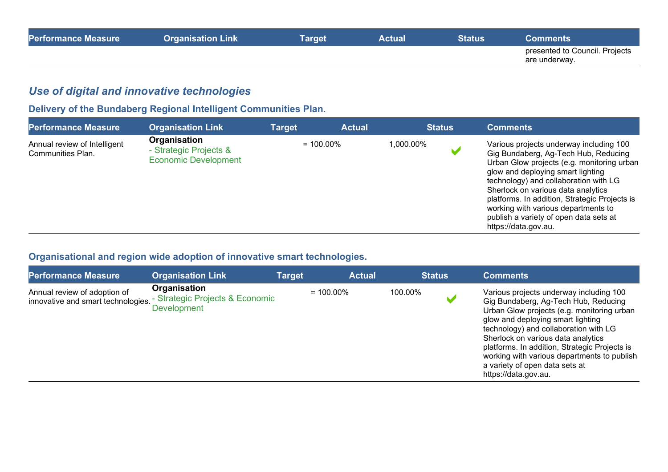| <b>Performance Measure</b> | <b>Organisation Link</b> | <b>Target</b> | <b>Actual</b> | Status | <b>Comments</b>                                 |
|----------------------------|--------------------------|---------------|---------------|--------|-------------------------------------------------|
|                            |                          |               |               |        | presented to Council. Projects<br>are underway. |

## *Use of digital and innovative technologies*

# **Delivery of the Bundaberg Regional Intelligent Communities Plan.**

| <b>Performance Measure</b>                        | <b>Organisation Link</b>                                              | Target | <b>Actual</b> |            | <b>Status</b> | <b>Comments</b>                                                                                                                                                                                                                                                                                                                                                                                             |
|---------------------------------------------------|-----------------------------------------------------------------------|--------|---------------|------------|---------------|-------------------------------------------------------------------------------------------------------------------------------------------------------------------------------------------------------------------------------------------------------------------------------------------------------------------------------------------------------------------------------------------------------------|
| Annual review of Intelligent<br>Communities Plan. | Organisation<br>- Strategic Projects &<br><b>Economic Development</b> |        | $= 100.00\%$  | 000.00%. ا |               | Various projects underway including 100<br>Gig Bundaberg, Ag-Tech Hub, Reducing<br>Urban Glow projects (e.g. monitoring urban<br>glow and deploying smart lighting<br>technology) and collaboration with LG<br>Sherlock on various data analytics<br>platforms. In addition, Strategic Projects is<br>working with various departments to<br>publish a variety of open data sets at<br>https://data.gov.au. |

## **Organisational and region wide adoption of innovative smart technologies.**

| <b>Performance Measure</b>                                         | <b>Organisation Link</b>                                              | Target | <b>Actual</b> |         | <b>Status</b> | <b>Comments</b>                                                                                                                                                                                                                                                                                                                                                                                             |
|--------------------------------------------------------------------|-----------------------------------------------------------------------|--------|---------------|---------|---------------|-------------------------------------------------------------------------------------------------------------------------------------------------------------------------------------------------------------------------------------------------------------------------------------------------------------------------------------------------------------------------------------------------------------|
| Annual review of adoption of<br>innovative and smart technologies. | Organisation<br>- Strategic Projects & Economic<br><b>Development</b> |        | $= 100.00\%$  | 100.00% |               | Various projects underway including 100<br>Gig Bundaberg, Ag-Tech Hub, Reducing<br>Urban Glow projects (e.g. monitoring urban<br>glow and deploying smart lighting<br>technology) and collaboration with LG<br>Sherlock on various data analytics<br>platforms. In addition, Strategic Projects is<br>working with various departments to publish<br>a variety of open data sets at<br>https://data.gov.au. |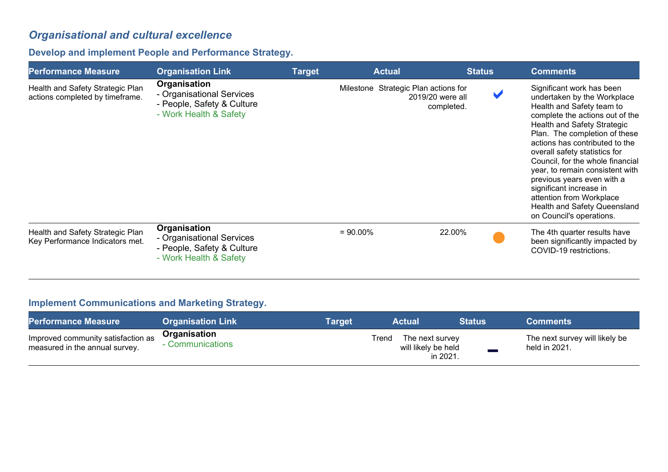# *Organisational and cultural excellence*

## **Develop and implement People and Performance Strategy.**

| <b>Performance Measure</b>                                          | <b>Organisation Link</b>                                                                          | <b>Target</b> | <b>Actual</b>                        | <b>Status</b>                  | <b>Comments</b>                                                                                                                                                                                                                                                                                                                                                                                                                                                                            |
|---------------------------------------------------------------------|---------------------------------------------------------------------------------------------------|---------------|--------------------------------------|--------------------------------|--------------------------------------------------------------------------------------------------------------------------------------------------------------------------------------------------------------------------------------------------------------------------------------------------------------------------------------------------------------------------------------------------------------------------------------------------------------------------------------------|
| Health and Safety Strategic Plan<br>actions completed by timeframe. | Organisation<br>- Organisational Services<br>- People, Safety & Culture<br>- Work Health & Safety |               | Milestone Strategic Plan actions for | 2019/20 were all<br>completed. | Significant work has been<br>undertaken by the Workplace<br>Health and Safety team to<br>complete the actions out of the<br>Health and Safety Strategic<br>Plan. The completion of these<br>actions has contributed to the<br>overall safety statistics for<br>Council, for the whole financial<br>year, to remain consistent with<br>previous years even with a<br>significant increase in<br>attention from Workplace<br><b>Health and Safety Queensland</b><br>on Council's operations. |
| Health and Safety Strategic Plan<br>Key Performance Indicators met. | Organisation<br>- Organisational Services<br>- People, Safety & Culture<br>- Work Health & Safety |               | $= 90.00\%$                          | 22.00%                         | The 4th quarter results have<br>been significantly impacted by<br>COVID-19 restrictions.                                                                                                                                                                                                                                                                                                                                                                                                   |

## **Implement Communications and Marketing Strategy.**

| <b>Performance Measure</b>                                           | <b>Organisation Link</b>         | Tarɑet | <b>Actual</b>                                      | <b>Status</b> | <b>Comments</b>                                 |
|----------------------------------------------------------------------|----------------------------------|--------|----------------------------------------------------|---------------|-------------------------------------------------|
| Improved community satisfaction as<br>measured in the annual survey. | Organisation<br>- Communications | Trend  | The next survey<br>will likely be held<br>in 2021. |               | The next survey will likely be<br>held in 2021. |